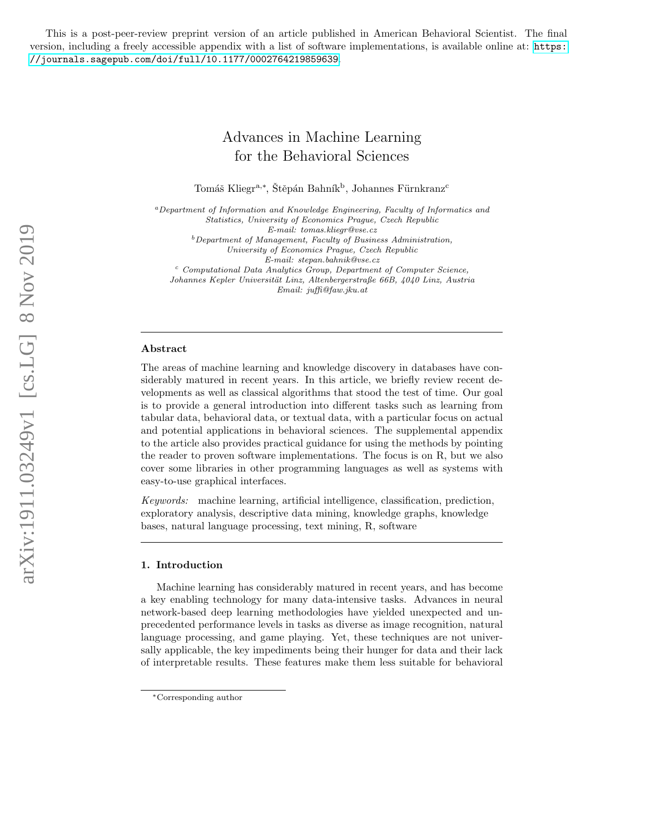This is a post-peer-review preprint version of an article published in American Behavioral Scientist. The final version, including a freely accessible appendix with a list of software implementations, is available online at: [https:](https://journals.sagepub.com/doi/full/10.1177/0002764219859639) [//journals.sagepub.com/doi/full/10.1177/0002764219859639](https://journals.sagepub.com/doi/full/10.1177/0002764219859639).

# Advances in Machine Learning for the Behavioral Sciences

Tomáš Kliegr<sup>a,∗</sup>, Štěpán Bahník<sup>b</sup>, Johannes Fürnkranz<sup>c</sup>

<sup>a</sup>Department of Information and Knowledge Engineering, Faculty of Informatics and Statistics, University of Economics Prague, Czech Republic E-mail: tomas.kliegr@vse.cz  $b$ Department of Management, Faculty of Business Administration, University of Economics Prague, Czech Republic E-mail: stepan.bahnik@vse.cz <sup>c</sup> Computational Data Analytics Group, Department of Computer Science,

Johannes Kepler Universität Linz, Altenbergerstraße 66B, 4040 Linz, Austria Email: juffi@faw.jku.at

#### Abstract

The areas of machine learning and knowledge discovery in databases have considerably matured in recent years. In this article, we briefly review recent developments as well as classical algorithms that stood the test of time. Our goal is to provide a general introduction into different tasks such as learning from tabular data, behavioral data, or textual data, with a particular focus on actual and potential applications in behavioral sciences. The supplemental appendix to the article also provides practical guidance for using the methods by pointing the reader to proven software implementations. The focus is on R, but we also cover some libraries in other programming languages as well as systems with easy-to-use graphical interfaces.

Keywords: machine learning, artificial intelligence, classification, prediction, exploratory analysis, descriptive data mining, knowledge graphs, knowledge bases, natural language processing, text mining, R, software

## 1. Introduction

Machine learning has considerably matured in recent years, and has become a key enabling technology for many data-intensive tasks. Advances in neural network-based deep learning methodologies have yielded unexpected and unprecedented performance levels in tasks as diverse as image recognition, natural language processing, and game playing. Yet, these techniques are not universally applicable, the key impediments being their hunger for data and their lack of interpretable results. These features make them less suitable for behavioral

<sup>∗</sup>Corresponding author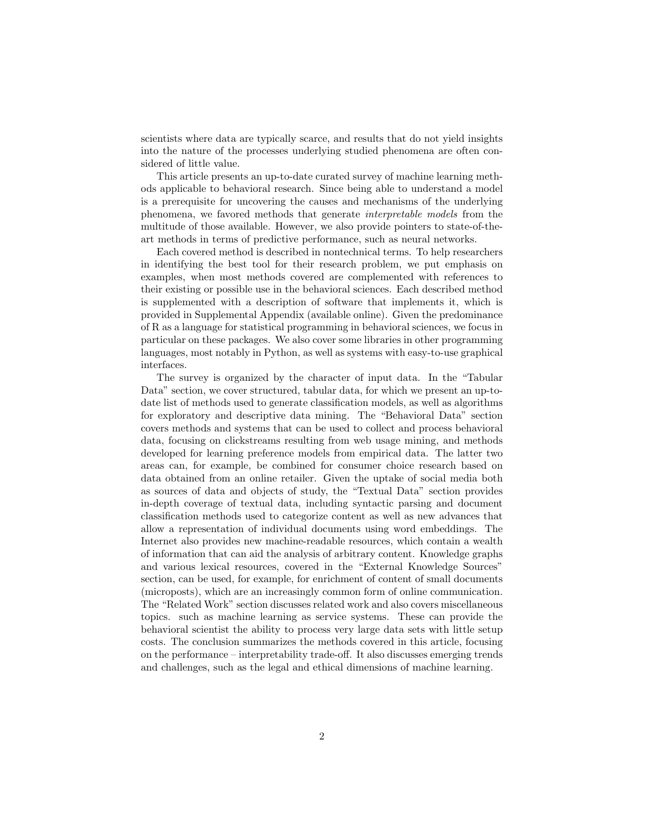scientists where data are typically scarce, and results that do not yield insights into the nature of the processes underlying studied phenomena are often considered of little value.

This article presents an up-to-date curated survey of machine learning methods applicable to behavioral research. Since being able to understand a model is a prerequisite for uncovering the causes and mechanisms of the underlying phenomena, we favored methods that generate interpretable models from the multitude of those available. However, we also provide pointers to state-of-theart methods in terms of predictive performance, such as neural networks.

Each covered method is described in nontechnical terms. To help researchers in identifying the best tool for their research problem, we put emphasis on examples, when most methods covered are complemented with references to their existing or possible use in the behavioral sciences. Each described method is supplemented with a description of software that implements it, which is provided in Supplemental Appendix (available online). Given the predominance of R as a language for statistical programming in behavioral sciences, we focus in particular on these packages. We also cover some libraries in other programming languages, most notably in Python, as well as systems with easy-to-use graphical interfaces.

The survey is organized by the character of input data. In the "Tabular Data" section, we cover structured, tabular data, for which we present an up-todate list of methods used to generate classification models, as well as algorithms for exploratory and descriptive data mining. The "Behavioral Data" section covers methods and systems that can be used to collect and process behavioral data, focusing on clickstreams resulting from web usage mining, and methods developed for learning preference models from empirical data. The latter two areas can, for example, be combined for consumer choice research based on data obtained from an online retailer. Given the uptake of social media both as sources of data and objects of study, the "Textual Data" section provides in-depth coverage of textual data, including syntactic parsing and document classification methods used to categorize content as well as new advances that allow a representation of individual documents using word embeddings. The Internet also provides new machine-readable resources, which contain a wealth of information that can aid the analysis of arbitrary content. Knowledge graphs and various lexical resources, covered in the "External Knowledge Sources" section, can be used, for example, for enrichment of content of small documents (microposts), which are an increasingly common form of online communication. The "Related Work" section discusses related work and also covers miscellaneous topics. such as machine learning as service systems. These can provide the behavioral scientist the ability to process very large data sets with little setup costs. The conclusion summarizes the methods covered in this article, focusing on the performance – interpretability trade-off. It also discusses emerging trends and challenges, such as the legal and ethical dimensions of machine learning.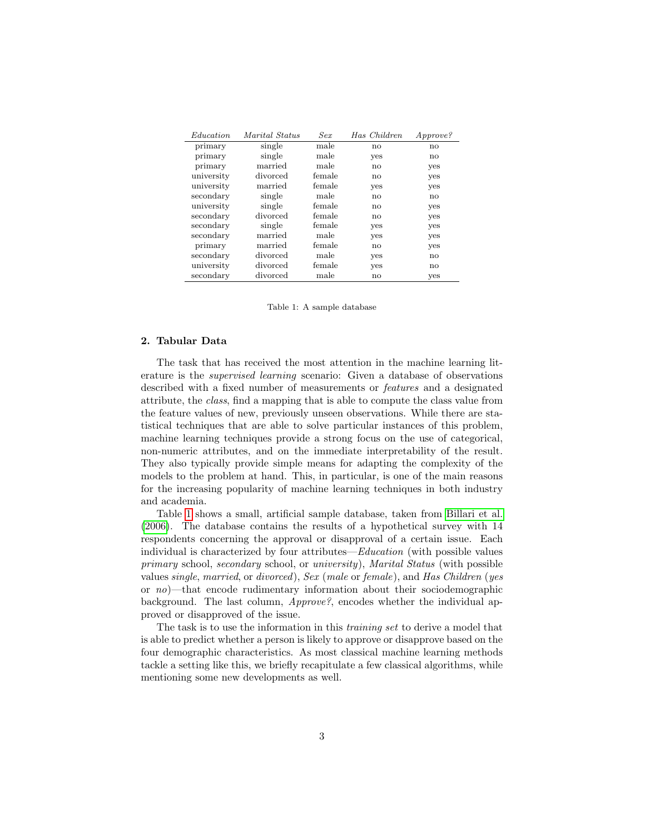<span id="page-2-0"></span>

| <i>Education</i> | Marital Status | Sex    | Has Children           | $A$ pprove?            |
|------------------|----------------|--------|------------------------|------------------------|
| primary          | single         | male   | $\mathbf{n}$           | no                     |
| primary          | single         | male   | yes                    | $\mathbf{n}\mathbf{o}$ |
| primary          | married        | male   | $\mathbf{n}$           | yes                    |
| university       | divorced       | female | $\mathbf{n}$           | yes                    |
| university       | married        | female | yes                    | yes                    |
| secondary        | single         | male   | $\mathbf{n}$           | $\mathbf{n}\mathbf{o}$ |
| university       | single         | female | $\mathbf{n}$           | yes                    |
| secondary        | divorced       | female | $\mathbf{n}$           | yes                    |
| secondary        | single         | female | yes                    | yes                    |
| secondary        | married        | male   | yes                    | yes                    |
| primary          | married        | female | $\mathbf{n}\mathbf{o}$ | yes                    |
| secondary        | divorced       | male   | yes                    | $\mathbf{n}\mathbf{o}$ |
| university       | divorced       | female | yes                    | no                     |
| secondary        | divorced       | male   | $\mathbf{n}$           | yes                    |

Table 1: A sample database

# 2. Tabular Data

The task that has received the most attention in the machine learning literature is the supervised learning scenario: Given a database of observations described with a fixed number of measurements or features and a designated attribute, the class, find a mapping that is able to compute the class value from the feature values of new, previously unseen observations. While there are statistical techniques that are able to solve particular instances of this problem, machine learning techniques provide a strong focus on the use of categorical, non-numeric attributes, and on the immediate interpretability of the result. They also typically provide simple means for adapting the complexity of the models to the problem at hand. This, in particular, is one of the main reasons for the increasing popularity of machine learning techniques in both industry and academia.

Table [1](#page-2-0) shows a small, artificial sample database, taken from [Billari et al.](#page-28-0) [\(2006\)](#page-28-0). The database contains the results of a hypothetical survey with 14 respondents concerning the approval or disapproval of a certain issue. Each individual is characterized by four attributes—Education (with possible values primary school, secondary school, or university), Marital Status (with possible values single, married, or divorced), Sex (male or female), and Has Children (yes or no)—that encode rudimentary information about their sociodemographic background. The last column, Approve?, encodes whether the individual approved or disapproved of the issue.

The task is to use the information in this *training set* to derive a model that is able to predict whether a person is likely to approve or disapprove based on the four demographic characteristics. As most classical machine learning methods tackle a setting like this, we briefly recapitulate a few classical algorithms, while mentioning some new developments as well.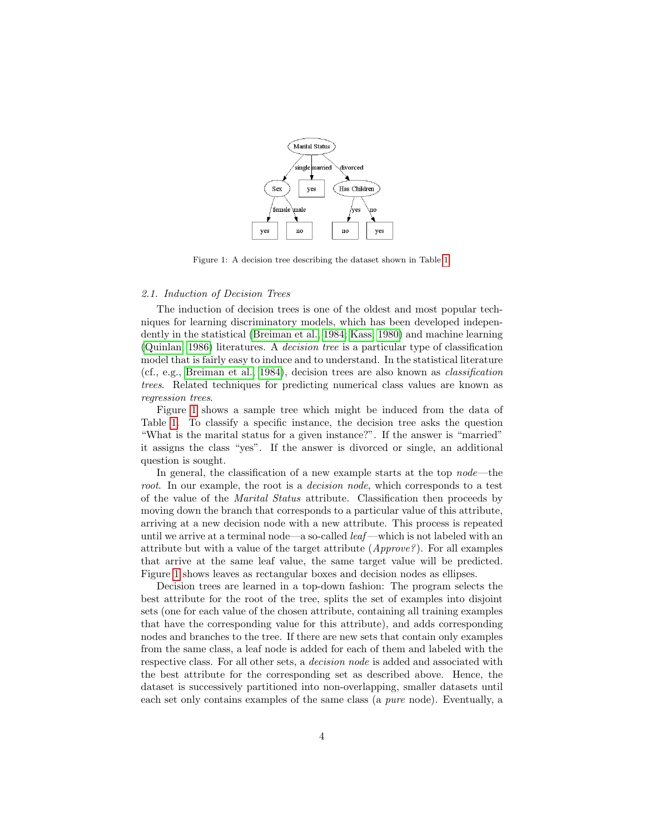<span id="page-3-0"></span>

Figure 1: A decision tree describing the dataset shown in Table [1.](#page-2-0)

## 2.1. Induction of Decision Trees

The induction of decision trees is one of the oldest and most popular techniques for learning discriminatory models, which has been developed independently in the statistical [\(Breiman et al., 1984;](#page-28-1) [Kass, 1980\)](#page-33-0) and machine learning [\(Quinlan, 1986\)](#page-36-0) literatures. A decision tree is a particular type of classification model that is fairly easy to induce and to understand. In the statistical literature (cf., e.g., [Breiman et al., 1984\)](#page-28-1), decision trees are also known as classification trees. Related techniques for predicting numerical class values are known as regression trees.

Figure [1](#page-3-0) shows a sample tree which might be induced from the data of Table [1.](#page-2-0) To classify a specific instance, the decision tree asks the question "What is the marital status for a given instance?". If the answer is "married" it assigns the class "yes". If the answer is divorced or single, an additional question is sought.

In general, the classification of a new example starts at the top *node*—the root. In our example, the root is a *decision node*, which corresponds to a test of the value of the Marital Status attribute. Classification then proceeds by moving down the branch that corresponds to a particular value of this attribute, arriving at a new decision node with a new attribute. This process is repeated until we arrive at a terminal node—a so-called *leaf* —which is not labeled with an attribute but with a value of the target attribute (Approve?). For all examples that arrive at the same leaf value, the same target value will be predicted. Figure [1](#page-3-0) shows leaves as rectangular boxes and decision nodes as ellipses.

Decision trees are learned in a top-down fashion: The program selects the best attribute for the root of the tree, splits the set of examples into disjoint sets (one for each value of the chosen attribute, containing all training examples that have the corresponding value for this attribute), and adds corresponding nodes and branches to the tree. If there are new sets that contain only examples from the same class, a leaf node is added for each of them and labeled with the respective class. For all other sets, a decision node is added and associated with the best attribute for the corresponding set as described above. Hence, the dataset is successively partitioned into non-overlapping, smaller datasets until each set only contains examples of the same class (a pure node). Eventually, a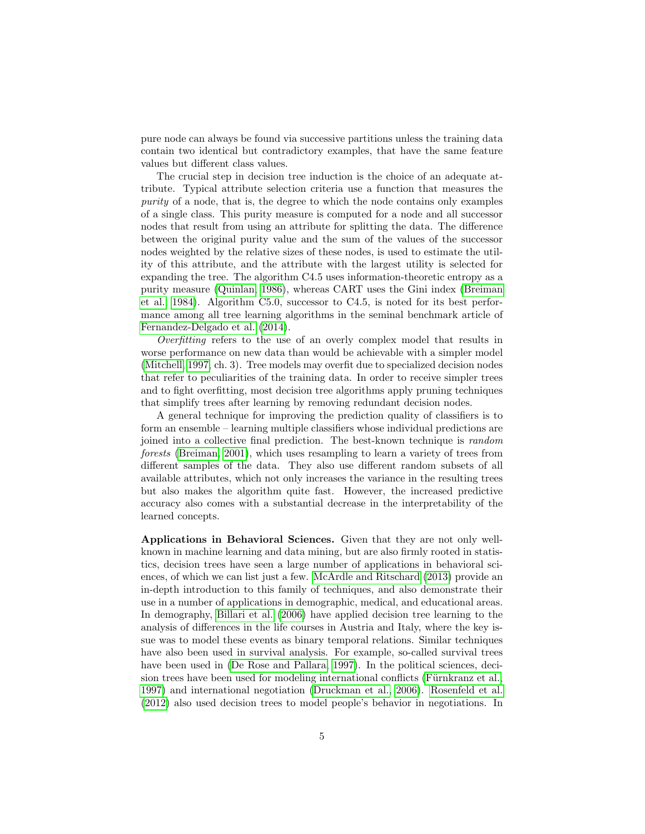pure node can always be found via successive partitions unless the training data contain two identical but contradictory examples, that have the same feature values but different class values.

The crucial step in decision tree induction is the choice of an adequate attribute. Typical attribute selection criteria use a function that measures the purity of a node, that is, the degree to which the node contains only examples of a single class. This purity measure is computed for a node and all successor nodes that result from using an attribute for splitting the data. The difference between the original purity value and the sum of the values of the successor nodes weighted by the relative sizes of these nodes, is used to estimate the utility of this attribute, and the attribute with the largest utility is selected for expanding the tree. The algorithm C4.5 uses information-theoretic entropy as a purity measure [\(Quinlan, 1986\)](#page-36-0), whereas CART uses the Gini index [\(Breiman](#page-28-1) [et al., 1984\)](#page-28-1). Algorithm C5.0, successor to C4.5, is noted for its best performance among all tree learning algorithms in the seminal benchmark article of [Fernandez-Delgado et al.](#page-30-0) [\(2014\)](#page-30-0).

Overfitting refers to the use of an overly complex model that results in worse performance on new data than would be achievable with a simpler model [\(Mitchell, 1997,](#page-35-0) ch. 3). Tree models may overfit due to specialized decision nodes that refer to peculiarities of the training data. In order to receive simpler trees and to fight overfitting, most decision tree algorithms apply pruning techniques that simplify trees after learning by removing redundant decision nodes.

A general technique for improving the prediction quality of classifiers is to form an ensemble – learning multiple classifiers whose individual predictions are joined into a collective final prediction. The best-known technique is random forests [\(Breiman, 2001\)](#page-28-2), which uses resampling to learn a variety of trees from different samples of the data. They also use different random subsets of all available attributes, which not only increases the variance in the resulting trees but also makes the algorithm quite fast. However, the increased predictive accuracy also comes with a substantial decrease in the interpretability of the learned concepts.

Applications in Behavioral Sciences. Given that they are not only wellknown in machine learning and data mining, but are also firmly rooted in statistics, decision trees have seen a large number of applications in behavioral sciences, of which we can list just a few. [McArdle and Ritschard](#page-35-1) [\(2013\)](#page-35-1) provide an in-depth introduction to this family of techniques, and also demonstrate their use in a number of applications in demographic, medical, and educational areas. In demography, [Billari et al.](#page-28-0) [\(2006\)](#page-28-0) have applied decision tree learning to the analysis of differences in the life courses in Austria and Italy, where the key issue was to model these events as binary temporal relations. Similar techniques have also been used in survival analysis. For example, so-called survival trees have been used in [\(De Rose and Pallara, 1997\)](#page-29-0). In the political sciences, decision trees have been used for modeling international conflicts (Fürnkranz et al., [1997\)](#page-31-0) and international negotiation [\(Druckman et al., 2006\)](#page-29-1). [Rosenfeld et al.](#page-37-0) [\(2012\)](#page-37-0) also used decision trees to model people's behavior in negotiations. In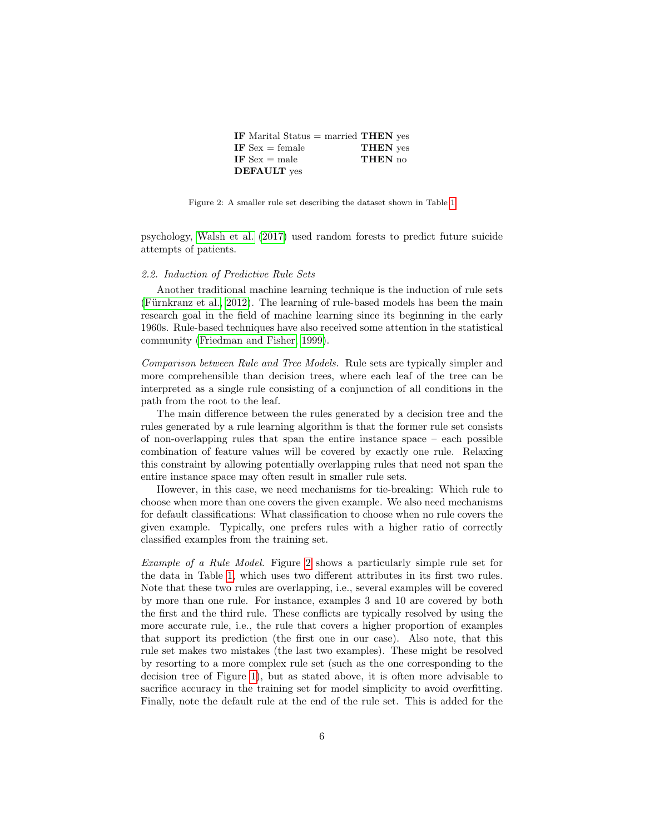| IF Marital Status $=$ married THEN yes |                 |
|----------------------------------------|-----------------|
| IF $Sex = female$                      | <b>THEN</b> yes |
| IF $Sex = male$                        | <b>THEN</b> no  |
| <b>DEFAULT</b> yes                     |                 |

<span id="page-5-0"></span>Figure 2: A smaller rule set describing the dataset shown in Table [1](#page-2-0)

psychology, [Walsh et al.](#page-39-0) [\(2017\)](#page-39-0) used random forests to predict future suicide attempts of patients.

#### 2.2. Induction of Predictive Rule Sets

Another traditional machine learning technique is the induction of rule sets (Fürnkranz et al.,  $2012$ ). The learning of rule-based models has been the main research goal in the field of machine learning since its beginning in the early 1960s. Rule-based techniques have also received some attention in the statistical community [\(Friedman and Fisher, 1999\)](#page-30-1).

Comparison between Rule and Tree Models. Rule sets are typically simpler and more comprehensible than decision trees, where each leaf of the tree can be interpreted as a single rule consisting of a conjunction of all conditions in the path from the root to the leaf.

The main difference between the rules generated by a decision tree and the rules generated by a rule learning algorithm is that the former rule set consists of non-overlapping rules that span the entire instance space  $-$  each possible combination of feature values will be covered by exactly one rule. Relaxing this constraint by allowing potentially overlapping rules that need not span the entire instance space may often result in smaller rule sets.

However, in this case, we need mechanisms for tie-breaking: Which rule to choose when more than one covers the given example. We also need mechanisms for default classifications: What classification to choose when no rule covers the given example. Typically, one prefers rules with a higher ratio of correctly classified examples from the training set.

Example of a Rule Model. Figure [2](#page-5-0) shows a particularly simple rule set for the data in Table [1,](#page-2-0) which uses two different attributes in its first two rules. Note that these two rules are overlapping, i.e., several examples will be covered by more than one rule. For instance, examples 3 and 10 are covered by both the first and the third rule. These conflicts are typically resolved by using the more accurate rule, i.e., the rule that covers a higher proportion of examples that support its prediction (the first one in our case). Also note, that this rule set makes two mistakes (the last two examples). These might be resolved by resorting to a more complex rule set (such as the one corresponding to the decision tree of Figure [1\)](#page-3-0), but as stated above, it is often more advisable to sacrifice accuracy in the training set for model simplicity to avoid overfitting. Finally, note the default rule at the end of the rule set. This is added for the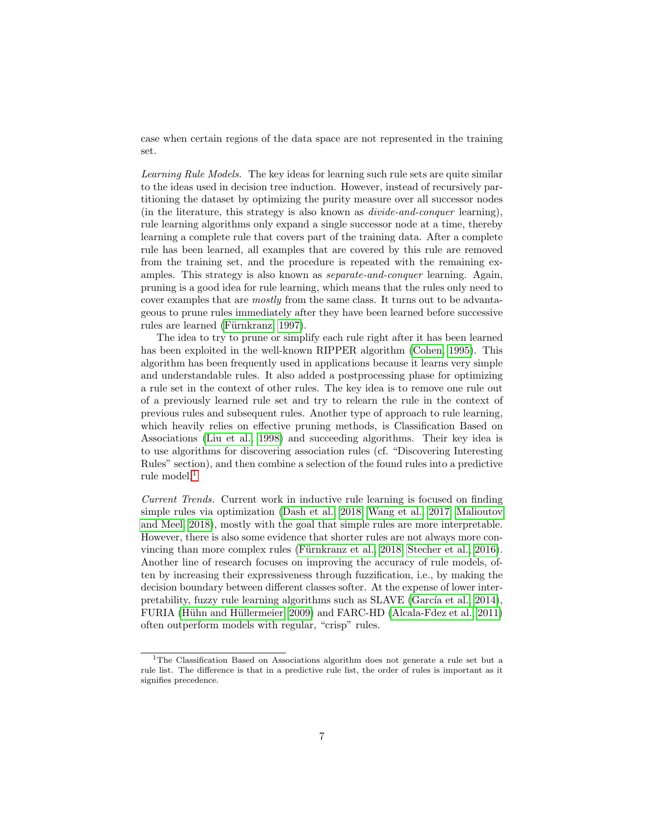case when certain regions of the data space are not represented in the training set.

Learning Rule Models. The key ideas for learning such rule sets are quite similar to the ideas used in decision tree induction. However, instead of recursively partitioning the dataset by optimizing the purity measure over all successor nodes (in the literature, this strategy is also known as divide-and-conquer learning), rule learning algorithms only expand a single successor node at a time, thereby learning a complete rule that covers part of the training data. After a complete rule has been learned, all examples that are covered by this rule are removed from the training set, and the procedure is repeated with the remaining examples. This strategy is also known as separate-and-conquer learning. Again, pruning is a good idea for rule learning, which means that the rules only need to cover examples that are mostly from the same class. It turns out to be advantageous to prune rules immediately after they have been learned before successive rules are learned (Fürnkranz, 1997).

The idea to try to prune or simplify each rule right after it has been learned has been exploited in the well-known RIPPER algorithm [\(Cohen, 1995\)](#page-29-2). This algorithm has been frequently used in applications because it learns very simple and understandable rules. It also added a postprocessing phase for optimizing a rule set in the context of other rules. The key idea is to remove one rule out of a previously learned rule set and try to relearn the rule in the context of previous rules and subsequent rules. Another type of approach to rule learning, which heavily relies on effective pruning methods, is Classification Based on Associations [\(Liu et al., 1998\)](#page-34-0) and succeeding algorithms. Their key idea is to use algorithms for discovering association rules (cf. "Discovering Interesting Rules" section), and then combine a selection of the found rules into a predictive rule model.<sup>[1](#page-6-0)</sup>

Current Trends. Current work in inductive rule learning is focused on finding simple rules via optimization [\(Dash et al., 2018;](#page-29-3) [Wang et al., 2017;](#page-40-0) [Malioutov](#page-35-2) [and Meel, 2018\)](#page-35-2), mostly with the goal that simple rules are more interpretable. However, there is also some evidence that shorter rules are not always more con-vincing than more complex rules (Fürnkranz et al., 2018; [Stecher et al., 2016\)](#page-38-0). Another line of research focuses on improving the accuracy of rule models, often by increasing their expressiveness through fuzzification, i.e., by making the decision boundary between different classes softer. At the expense of lower interpretability, fuzzy rule learning algorithms such as  $SLAVE$  (Garc $ia$  et al., 2014), FURIA (Hühn and Hüllermeier, 2009) and FARC-HD [\(Alcala-Fdez et al., 2011\)](#page-27-0) often outperform models with regular, "crisp" rules.

<span id="page-6-0"></span><sup>1</sup>The Classification Based on Associations algorithm does not generate a rule set but a rule list. The difference is that in a predictive rule list, the order of rules is important as it signifies precedence.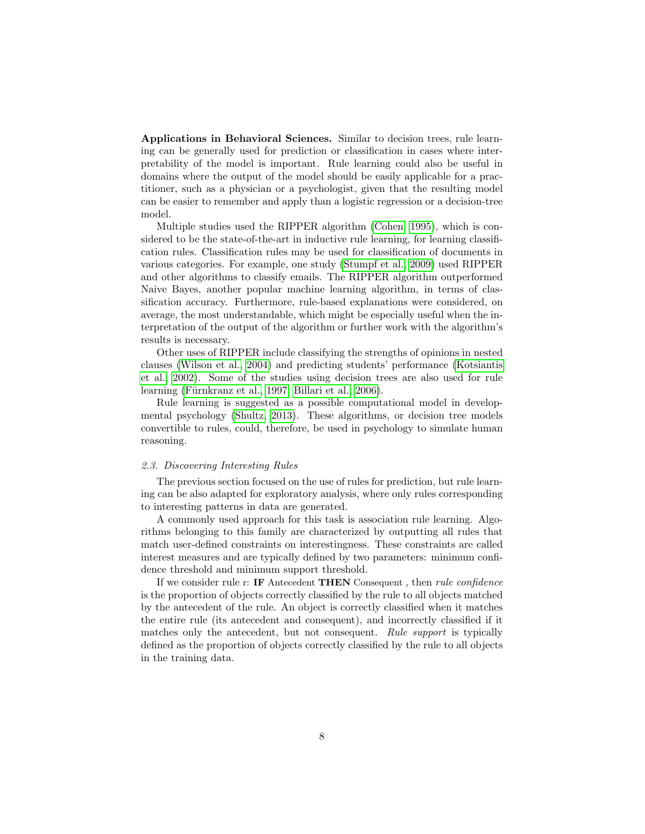Applications in Behavioral Sciences. Similar to decision trees, rule learning can be generally used for prediction or classification in cases where interpretability of the model is important. Rule learning could also be useful in domains where the output of the model should be easily applicable for a practitioner, such as a physician or a psychologist, given that the resulting model can be easier to remember and apply than a logistic regression or a decision-tree model.

Multiple studies used the RIPPER algorithm [\(Cohen, 1995\)](#page-29-2), which is considered to be the state-of-the-art in inductive rule learning, for learning classification rules. Classification rules may be used for classification of documents in various categories. For example, one study [\(Stumpf et al., 2009\)](#page-38-1) used RIPPER and other algorithms to classify emails. The RIPPER algorithm outperformed Naive Bayes, another popular machine learning algorithm, in terms of classification accuracy. Furthermore, rule-based explanations were considered, on average, the most understandable, which might be especially useful when the interpretation of the output of the algorithm or further work with the algorithm's results is necessary.

Other uses of RIPPER include classifying the strengths of opinions in nested clauses [\(Wilson et al., 2004\)](#page-40-1) and predicting students' performance [\(Kotsiantis](#page-33-2) [et al., 2002\)](#page-33-2). Some of the studies using decision trees are also used for rule learning (Fürnkranz et al., 1997; [Billari et al., 2006\)](#page-28-0).

Rule learning is suggested as a possible computational model in developmental psychology [\(Shultz, 2013\)](#page-37-1). These algorithms, or decision tree models convertible to rules, could, therefore, be used in psychology to simulate human reasoning.

### 2.3. Discovering Interesting Rules

The previous section focused on the use of rules for prediction, but rule learning can be also adapted for exploratory analysis, where only rules corresponding to interesting patterns in data are generated.

A commonly used approach for this task is association rule learning. Algorithms belonging to this family are characterized by outputting all rules that match user-defined constraints on interestingness. These constraints are called interest measures and are typically defined by two parameters: minimum confidence threshold and minimum support threshold.

If we consider rule r: IF Antecedent THEN Consequent , then rule confidence is the proportion of objects correctly classified by the rule to all objects matched by the antecedent of the rule. An object is correctly classified when it matches the entire rule (its antecedent and consequent), and incorrectly classified if it matches only the antecedent, but not consequent. Rule support is typically defined as the proportion of objects correctly classified by the rule to all objects in the training data.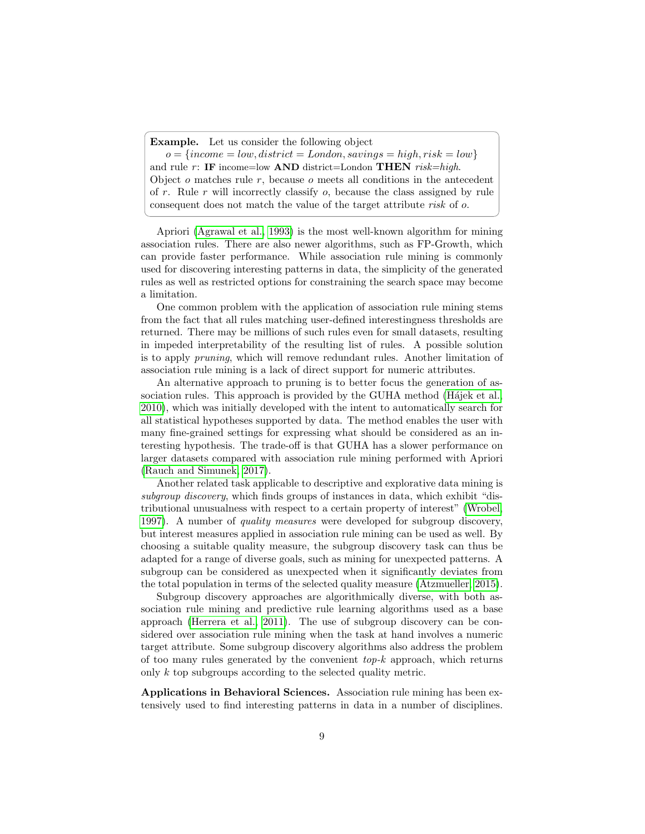Example. Let us consider the following object  $o = \{income = low, district = London, savings = high, risk = low\}$ and rule r: IF income=low AND district=London THEN risk=high. Object  $o$  matches rule  $r$ , because  $o$  meets all conditions in the antecedent of r. Rule r will incorrectly classify  $o$ , because the class assigned by rule consequent does not match the value of the target attribute risk of o.

Apriori [\(Agrawal et al., 1993\)](#page-27-1) is the most well-known algorithm for mining association rules. There are also newer algorithms, such as FP-Growth, which can provide faster performance. While association rule mining is commonly used for discovering interesting patterns in data, the simplicity of the generated rules as well as restricted options for constraining the search space may become a limitation.

One common problem with the application of association rule mining stems from the fact that all rules matching user-defined interestingness thresholds are returned. There may be millions of such rules even for small datasets, resulting in impeded interpretability of the resulting list of rules. A possible solution is to apply pruning, which will remove redundant rules. Another limitation of association rule mining is a lack of direct support for numeric attributes.

An alternative approach to pruning is to better focus the generation of association rules. This approach is provided by the GUHA method (H $\acute{a}$ jek et al., [2010\)](#page-32-0), which was initially developed with the intent to automatically search for all statistical hypotheses supported by data. The method enables the user with many fine-grained settings for expressing what should be considered as an interesting hypothesis. The trade-off is that GUHA has a slower performance on larger datasets compared with association rule mining performed with Apriori [\(Rauch and Simunek, 2017\)](#page-36-1).

Another related task applicable to descriptive and explorative data mining is subgroup discovery, which finds groups of instances in data, which exhibit "distributional unusualness with respect to a certain property of interest" [\(Wrobel,](#page-40-2) [1997\)](#page-40-2). A number of *quality measures* were developed for subgroup discovery, but interest measures applied in association rule mining can be used as well. By choosing a suitable quality measure, the subgroup discovery task can thus be adapted for a range of diverse goals, such as mining for unexpected patterns. A subgroup can be considered as unexpected when it significantly deviates from the total population in terms of the selected quality measure [\(Atzmueller, 2015\)](#page-27-2).

Subgroup discovery approaches are algorithmically diverse, with both association rule mining and predictive rule learning algorithms used as a base approach [\(Herrera et al., 2011\)](#page-32-1). The use of subgroup discovery can be considered over association rule mining when the task at hand involves a numeric target attribute. Some subgroup discovery algorithms also address the problem of too many rules generated by the convenient  $top-k$  approach, which returns only k top subgroups according to the selected quality metric.

Applications in Behavioral Sciences. Association rule mining has been extensively used to find interesting patterns in data in a number of disciplines.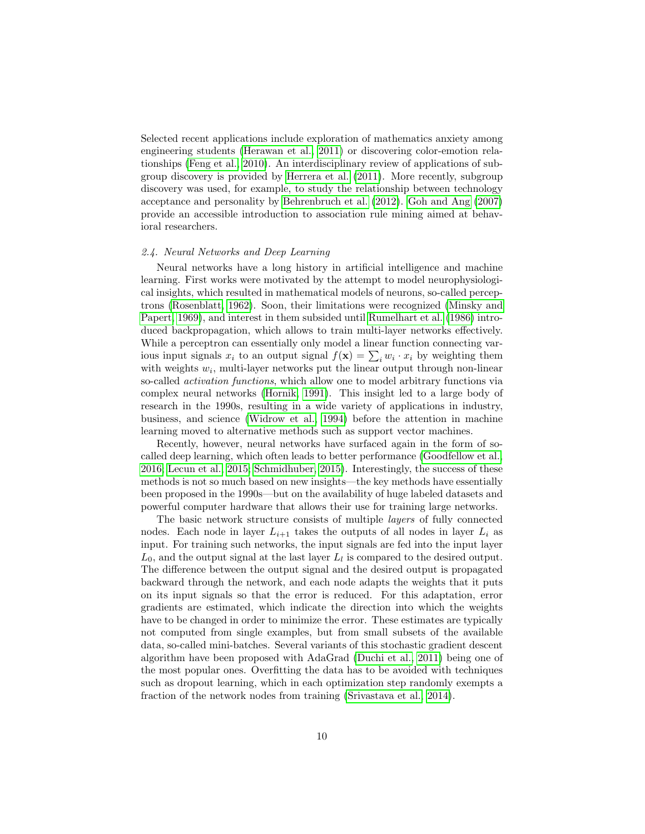Selected recent applications include exploration of mathematics anxiety among engineering students [\(Herawan et al., 2011\)](#page-32-2) or discovering color-emotion relationships [\(Feng et al., 2010\)](#page-30-2). An interdisciplinary review of applications of subgroup discovery is provided by [Herrera et al.](#page-32-1) [\(2011\)](#page-32-1). More recently, subgroup discovery was used, for example, to study the relationship between technology acceptance and personality by [Behrenbruch et al.](#page-28-3) [\(2012\)](#page-28-3). [Goh and Ang](#page-31-5) [\(2007\)](#page-31-5) provide an accessible introduction to association rule mining aimed at behavioral researchers.

### 2.4. Neural Networks and Deep Learning

Neural networks have a long history in artificial intelligence and machine learning. First works were motivated by the attempt to model neurophysiological insights, which resulted in mathematical models of neurons, so-called perceptrons [\(Rosenblatt, 1962\)](#page-37-2). Soon, their limitations were recognized [\(Minsky and](#page-35-3) [Papert, 1969\)](#page-35-3), and interest in them subsided until [Rumelhart et al.](#page-37-3) [\(1986\)](#page-37-3) introduced backpropagation, which allows to train multi-layer networks effectively. While a perceptron can essentially only model a linear function connecting various input signals  $x_i$  to an output signal  $f(\mathbf{x}) = \sum_i w_i \cdot x_i$  by weighting them with weights  $w_i$ , multi-layer networks put the linear output through non-linear so-called *activation functions*, which allow one to model arbitrary functions via complex neural networks [\(Hornik, 1991\)](#page-33-3). This insight led to a large body of research in the 1990s, resulting in a wide variety of applications in industry, business, and science [\(Widrow et al., 1994\)](#page-40-3) before the attention in machine learning moved to alternative methods such as support vector machines.

Recently, however, neural networks have surfaced again in the form of socalled deep learning, which often leads to better performance [\(Goodfellow et al.,](#page-32-3) [2016;](#page-32-3) [Lecun et al., 2015;](#page-34-1) [Schmidhuber, 2015\)](#page-37-4). Interestingly, the success of these methods is not so much based on new insights—the key methods have essentially been proposed in the 1990s—but on the availability of huge labeled datasets and powerful computer hardware that allows their use for training large networks.

The basic network structure consists of multiple layers of fully connected nodes. Each node in layer  $L_{i+1}$  takes the outputs of all nodes in layer  $L_i$  as input. For training such networks, the input signals are fed into the input layer  $L_0$ , and the output signal at the last layer  $L_l$  is compared to the desired output. The difference between the output signal and the desired output is propagated backward through the network, and each node adapts the weights that it puts on its input signals so that the error is reduced. For this adaptation, error gradients are estimated, which indicate the direction into which the weights have to be changed in order to minimize the error. These estimates are typically not computed from single examples, but from small subsets of the available data, so-called mini-batches. Several variants of this stochastic gradient descent algorithm have been proposed with AdaGrad [\(Duchi et al., 2011\)](#page-30-3) being one of the most popular ones. Overfitting the data has to be avoided with techniques such as dropout learning, which in each optimization step randomly exempts a fraction of the network nodes from training [\(Srivastava et al., 2014\)](#page-38-2).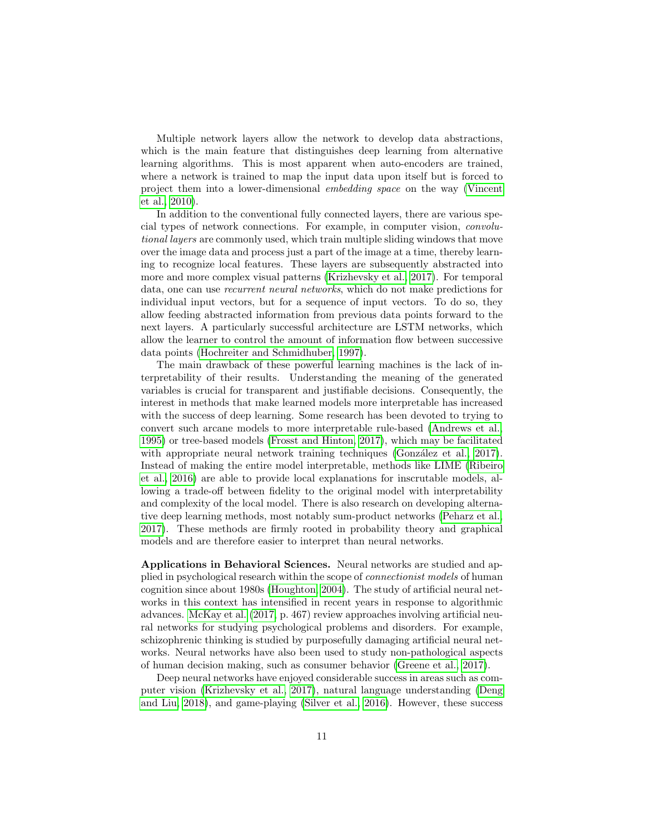Multiple network layers allow the network to develop data abstractions, which is the main feature that distinguishes deep learning from alternative learning algorithms. This is most apparent when auto-encoders are trained, where a network is trained to map the input data upon itself but is forced to project them into a lower-dimensional embedding space on the way [\(Vincent](#page-39-1) [et al., 2010\)](#page-39-1).

In addition to the conventional fully connected layers, there are various special types of network connections. For example, in computer vision, convolutional layers are commonly used, which train multiple sliding windows that move over the image data and process just a part of the image at a time, thereby learning to recognize local features. These layers are subsequently abstracted into more and more complex visual patterns [\(Krizhevsky et al., 2017\)](#page-34-2). For temporal data, one can use recurrent neural networks, which do not make predictions for individual input vectors, but for a sequence of input vectors. To do so, they allow feeding abstracted information from previous data points forward to the next layers. A particularly successful architecture are LSTM networks, which allow the learner to control the amount of information flow between successive data points [\(Hochreiter and Schmidhuber, 1997\)](#page-33-4).

The main drawback of these powerful learning machines is the lack of interpretability of their results. Understanding the meaning of the generated variables is crucial for transparent and justifiable decisions. Consequently, the interest in methods that make learned models more interpretable has increased with the success of deep learning. Some research has been devoted to trying to convert such arcane models to more interpretable rule-based [\(Andrews et al.,](#page-27-3) [1995\)](#page-27-3) or tree-based models [\(Frosst and Hinton, 2017\)](#page-30-4), which may be facilitated with appropriate neural network training techniques (González et al.,  $2017$ ). Instead of making the entire model interpretable, methods like LIME [\(Ribeiro](#page-36-2) [et al., 2016\)](#page-36-2) are able to provide local explanations for inscrutable models, allowing a trade-off between fidelity to the original model with interpretability and complexity of the local model. There is also research on developing alternative deep learning methods, most notably sum-product networks [\(Peharz et al.,](#page-36-3) [2017\)](#page-36-3). These methods are firmly rooted in probability theory and graphical models and are therefore easier to interpret than neural networks.

Applications in Behavioral Sciences. Neural networks are studied and applied in psychological research within the scope of connectionist models of human cognition since about 1980s [\(Houghton, 2004\)](#page-33-5). The study of artificial neural networks in this context has intensified in recent years in response to algorithmic advances. [McKay et al.](#page-35-4) [\(2017,](#page-35-4) p. 467) review approaches involving artificial neural networks for studying psychological problems and disorders. For example, schizophrenic thinking is studied by purposefully damaging artificial neural networks. Neural networks have also been used to study non-pathological aspects of human decision making, such as consumer behavior [\(Greene et al., 2017\)](#page-32-5).

Deep neural networks have enjoyed considerable success in areas such as computer vision [\(Krizhevsky et al., 2017\)](#page-34-2), natural language understanding [\(Deng](#page-29-4) [and Liu, 2018\)](#page-29-4), and game-playing [\(Silver et al., 2016\)](#page-38-3). However, these success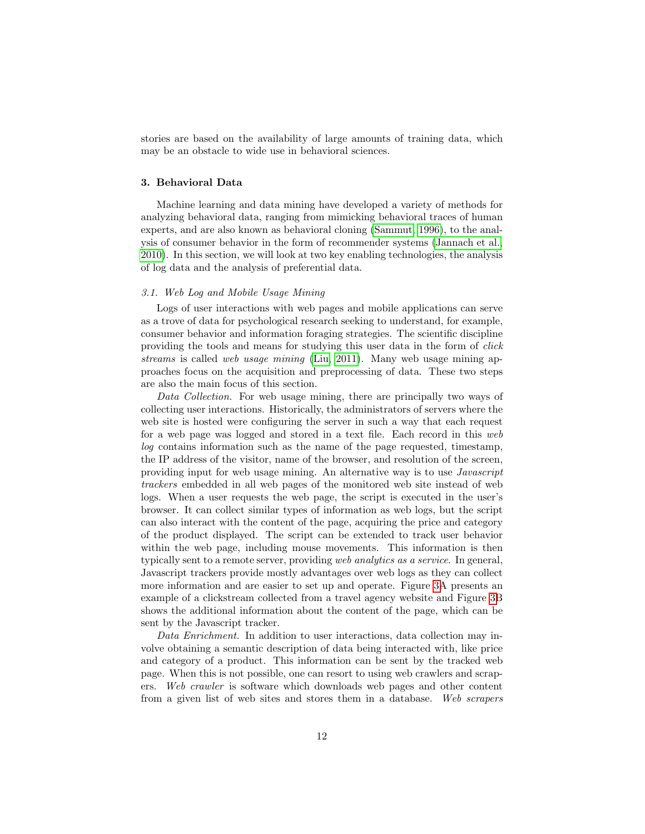stories are based on the availability of large amounts of training data, which may be an obstacle to wide use in behavioral sciences.

### 3. Behavioral Data

Machine learning and data mining have developed a variety of methods for analyzing behavioral data, ranging from mimicking behavioral traces of human experts, and are also known as behavioral cloning [\(Sammut, 1996\)](#page-37-5), to the analysis of consumer behavior in the form of recommender systems [\(Jannach et al.,](#page-33-6) [2010\)](#page-33-6). In this section, we will look at two key enabling technologies, the analysis of log data and the analysis of preferential data.

## 3.1. Web Log and Mobile Usage Mining

Logs of user interactions with web pages and mobile applications can serve as a trove of data for psychological research seeking to understand, for example, consumer behavior and information foraging strategies. The scientific discipline providing the tools and means for studying this user data in the form of *click* streams is called web usage mining [\(Liu, 2011\)](#page-34-3). Many web usage mining approaches focus on the acquisition and preprocessing of data. These two steps are also the main focus of this section.

Data Collection. For web usage mining, there are principally two ways of collecting user interactions. Historically, the administrators of servers where the web site is hosted were configuring the server in such a way that each request for a web page was logged and stored in a text file. Each record in this web log contains information such as the name of the page requested, timestamp, the IP address of the visitor, name of the browser, and resolution of the screen, providing input for web usage mining. An alternative way is to use Javascript trackers embedded in all web pages of the monitored web site instead of web logs. When a user requests the web page, the script is executed in the user's browser. It can collect similar types of information as web logs, but the script can also interact with the content of the page, acquiring the price and category of the product displayed. The script can be extended to track user behavior within the web page, including mouse movements. This information is then typically sent to a remote server, providing web analytics as a service. In general, Javascript trackers provide mostly advantages over web logs as they can collect more information and are easier to set up and operate. Figure [3A](#page-12-0) presents an example of a clickstream collected from a travel agency website and Figure [3B](#page-12-0) shows the additional information about the content of the page, which can be sent by the Javascript tracker.

Data Enrichment. In addition to user interactions, data collection may involve obtaining a semantic description of data being interacted with, like price and category of a product. This information can be sent by the tracked web page. When this is not possible, one can resort to using web crawlers and scrapers. Web crawler is software which downloads web pages and other content from a given list of web sites and stores them in a database. Web scrapers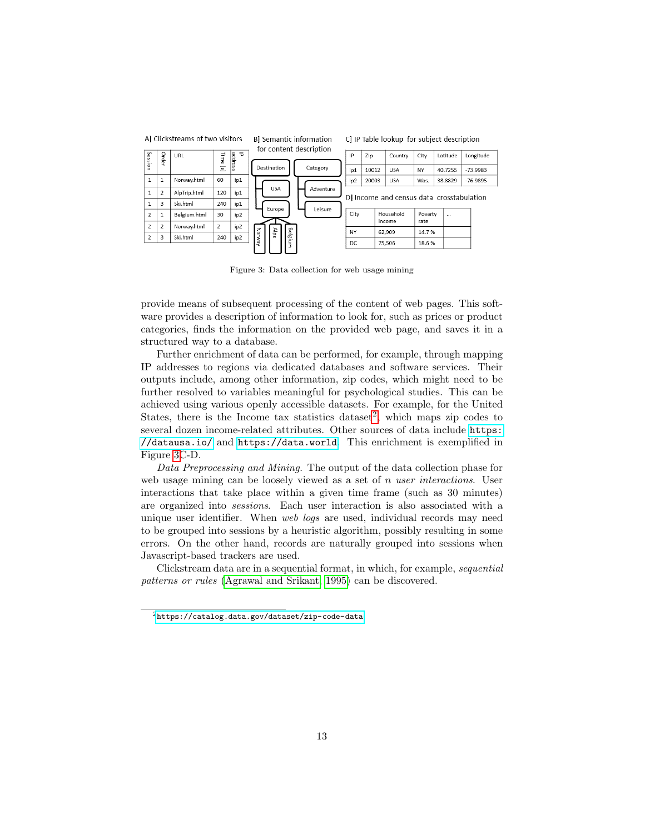| AT CIRCINGLICATION OF LWO VISILOIS |                |              |                | DI JOHNAHUU IHIOHHAUUH    |       |                  | CITE TRUIC TOOKUP TOT SUBJECT UCSCITIZION |                         |           |       |                                           |         |          |  |            |
|------------------------------------|----------------|--------------|----------------|---------------------------|-------|------------------|-------------------------------------------|-------------------------|-----------|-------|-------------------------------------------|---------|----------|--|------------|
| Session                            | Ord            | URL          | Time           | $\overline{u}$<br>address |       |                  |                                           | for content description | IP        | Zip   | Country                                   | City    | Latitude |  | Longitude  |
|                                    |                |              | $\overline{s}$ |                           |       | Destination      |                                           | Category                | ip1       | 10012 | <b>USA</b>                                | NY      | 40.7255  |  | $-73.9983$ |
| $\mathbf{1}$                       |                | Norway.html  | 60             | ip1                       |       |                  |                                           |                         | ip2       | 20003 | <b>USA</b>                                | Was.    | 38,8829  |  | $-76.9895$ |
| $\mathbf{1}$                       | $\mathfrak{p}$ | AlpTrip.html | 120            | ip1                       |       | <b>USA</b>       |                                           | Adventure               |           |       | D] Income and census data crosstabulation |         |          |  |            |
| $\mathbf{1}$                       | 3              | Ski.html     | 240            | ip1                       |       | Europe           |                                           | Leisure                 |           |       |                                           |         |          |  |            |
| $\overline{2}$                     |                | Belgium.html | 30             | ip2                       |       |                  |                                           |                         | City      |       | Household                                 | Poverty |          |  |            |
| $\mathcal{L}$                      | $\overline{2}$ | Norway.html  | $\overline{2}$ | ip2                       |       |                  | Be                                        |                         |           |       | income                                    | rate    |          |  |            |
| $\overline{2}$                     | 3              | Ski.html     | 240            | ip2                       | Neway | sd <sub>IV</sub> | CO <sub>1</sub>                           |                         | <b>NY</b> |       | 62,909                                    | 14.7%   |          |  |            |
|                                    |                |              |                |                           |       |                  | Ę                                         |                         | DC.       |       | 75,506                                    | 18.6%   |          |  |            |
|                                    |                |              |                |                           |       |                  |                                           |                         |           |       |                                           |         |          |  |            |

<span id="page-12-0"></span>Al Clickstranme of two visitors DI Semantic information CLID Table lookup for subject description

Figure 3: Data collection for web usage mining

provide means of subsequent processing of the content of web pages. This software provides a description of information to look for, such as prices or product categories, finds the information on the provided web page, and saves it in a structured way to a database.

Further enrichment of data can be performed, for example, through mapping IP addresses to regions via dedicated databases and software services. Their outputs include, among other information, zip codes, which might need to be further resolved to variables meaningful for psychological studies. This can be achieved using various openly accessible datasets. For example, for the United States, there is the Income tax statistics dataset<sup>[2](#page-12-1)</sup>, which maps zip codes to several dozen income-related attributes. Other sources of data include [https:](https://datausa.io/) [//datausa.io/](https://datausa.io/) and <https://data.world>. This enrichment is exemplified in Figure [3C](#page-12-0)-D.

Data Preprocessing and Mining. The output of the data collection phase for web usage mining can be loosely viewed as a set of *n user interactions*. User interactions that take place within a given time frame (such as 30 minutes) are organized into sessions. Each user interaction is also associated with a unique user identifier. When web logs are used, individual records may need to be grouped into sessions by a heuristic algorithm, possibly resulting in some errors. On the other hand, records are naturally grouped into sessions when Javascript-based trackers are used.

Clickstream data are in a sequential format, in which, for example, sequential patterns or rules [\(Agrawal and Srikant, 1995\)](#page-27-4) can be discovered.

<span id="page-12-1"></span> $^2$ <https://catalog.data.gov/dataset/zip-code-data>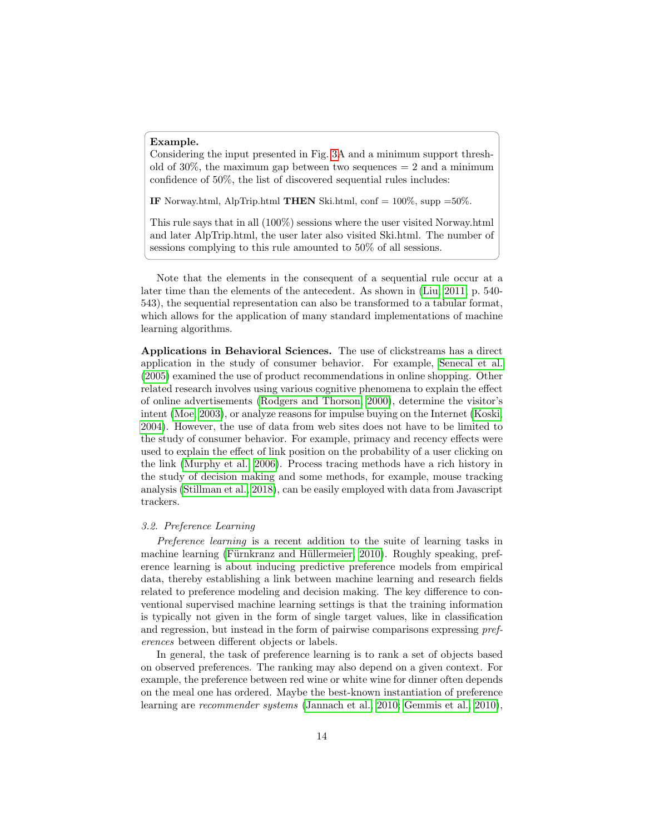## Example.

Considering the input presented in Fig. [3A](#page-12-0) and a minimum support threshold of  $30\%$ , the maximum gap between two sequences  $= 2$  and a minimum confidence of 50%, the list of discovered sequential rules includes:

IF Norway.html, AlpTrip.html THEN Ski.html, conf =  $100\%$ , supp =  $50\%$ .

This rule says that in all (100%) sessions where the user visited Norway.html and later AlpTrip.html, the user later also visited Ski.html. The number of sessions complying to this rule amounted to 50% of all sessions.

Note that the elements in the consequent of a sequential rule occur at a later time than the elements of the antecedent. As shown in [\(Liu, 2011,](#page-34-3) p. 540- 543), the sequential representation can also be transformed to a tabular format, which allows for the application of many standard implementations of machine learning algorithms.

Applications in Behavioral Sciences. The use of clickstreams has a direct application in the study of consumer behavior. For example, [Senecal et al.](#page-37-6) [\(2005\)](#page-37-6) examined the use of product recommendations in online shopping. Other related research involves using various cognitive phenomena to explain the effect of online advertisements [\(Rodgers and Thorson, 2000\)](#page-36-4), determine the visitor's intent [\(Moe, 2003\)](#page-35-5), or analyze reasons for impulse buying on the Internet [\(Koski,](#page-33-7) [2004\)](#page-33-7). However, the use of data from web sites does not have to be limited to the study of consumer behavior. For example, primacy and recency effects were used to explain the effect of link position on the probability of a user clicking on the link [\(Murphy et al., 2006\)](#page-35-6). Process tracing methods have a rich history in the study of decision making and some methods, for example, mouse tracking analysis [\(Stillman et al., 2018\)](#page-38-4), can be easily employed with data from Javascript trackers.

# 3.2. Preference Learning

Preference learning is a recent addition to the suite of learning tasks in machine learning (Fürnkranz and Hüllermeier, 2010). Roughly speaking, preference learning is about inducing predictive preference models from empirical data, thereby establishing a link between machine learning and research fields related to preference modeling and decision making. The key difference to conventional supervised machine learning settings is that the training information is typically not given in the form of single target values, like in classification and regression, but instead in the form of pairwise comparisons expressing preferences between different objects or labels.

In general, the task of preference learning is to rank a set of objects based on observed preferences. The ranking may also depend on a given context. For example, the preference between red wine or white wine for dinner often depends on the meal one has ordered. Maybe the best-known instantiation of preference learning are recommender systems [\(Jannach et al., 2010;](#page-33-6) [Gemmis et al., 2010\)](#page-31-7),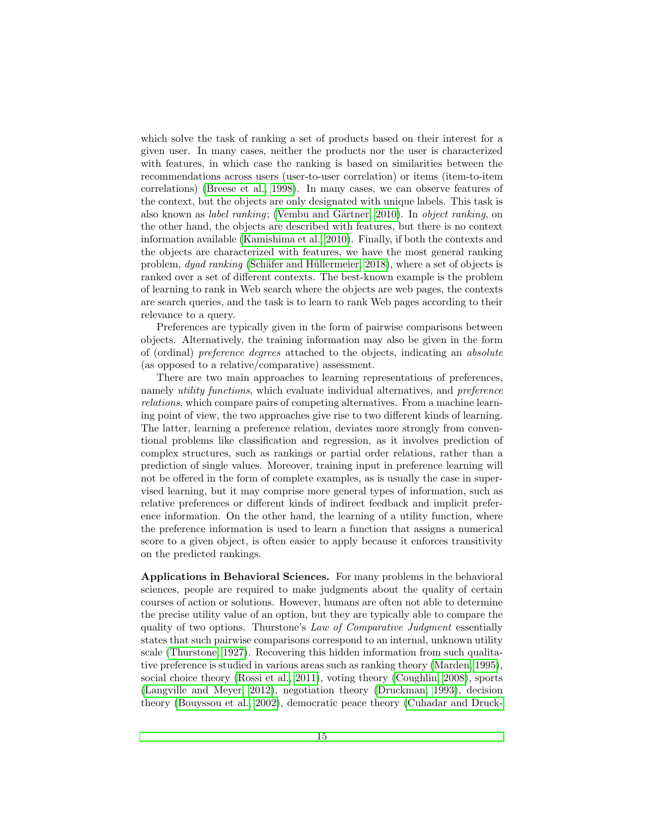which solve the task of ranking a set of products based on their interest for a given user. In many cases, neither the products nor the user is characterized with features, in which case the ranking is based on similarities between the recommendations across users (user-to-user correlation) or items (item-to-item correlations) [\(Breese et al., 1998\)](#page-28-4). In many cases, we can observe features of the context, but the objects are only designated with unique labels. This task is also known as *label ranking*; (Vembu and Gärtner, 2010). In *object ranking*, on the other hand, the objects are described with features, but there is no context information available [\(Kamishima et al., 2010\)](#page-33-8). Finally, if both the contexts and the objects are characterized with features, we have the most general ranking problem, *dyad ranking* (Schäfer and Hüllermeier, 2018), where a set of objects is ranked over a set of different contexts. The best-known example is the problem of learning to rank in Web search where the objects are web pages, the contexts are search queries, and the task is to learn to rank Web pages according to their relevance to a query.

Preferences are typically given in the form of pairwise comparisons between objects. Alternatively, the training information may also be given in the form of (ordinal) preference degrees attached to the objects, indicating an absolute (as opposed to a relative/comparative) assessment.

There are two main approaches to learning representations of preferences, namely *utility functions*, which evaluate individual alternatives, and *preference* relations, which compare pairs of competing alternatives. From a machine learning point of view, the two approaches give rise to two different kinds of learning. The latter, learning a preference relation, deviates more strongly from conventional problems like classification and regression, as it involves prediction of complex structures, such as rankings or partial order relations, rather than a prediction of single values. Moreover, training input in preference learning will not be offered in the form of complete examples, as is usually the case in supervised learning, but it may comprise more general types of information, such as relative preferences or different kinds of indirect feedback and implicit preference information. On the other hand, the learning of a utility function, where the preference information is used to learn a function that assigns a numerical score to a given object, is often easier to apply because it enforces transitivity on the predicted rankings.

Applications in Behavioral Sciences. For many problems in the behavioral sciences, people are required to make judgments about the quality of certain courses of action or solutions. However, humans are often not able to determine the precise utility value of an option, but they are typically able to compare the quality of two options. Thurstone's Law of Comparative Judgment essentially states that such pairwise comparisons correspond to an internal, unknown utility scale [\(Thurstone, 1927\)](#page-39-3). Recovering this hidden information from such qualitative preference is studied in various areas such as ranking theory [\(Marden, 1995\)](#page-35-7), social choice theory [\(Rossi et al., 2011\)](#page-37-8), voting theory [\(Coughlin, 2008\)](#page-29-5), sports [\(Langville and Meyer, 2012\)](#page-34-4), negotiation theory [\(Druckman, 1993\)](#page-29-6), decision theory [\(Bouyssou et al., 2002\)](#page-28-5), democratic peace theory [\(Cuhadar and Druck-](#page-29-7)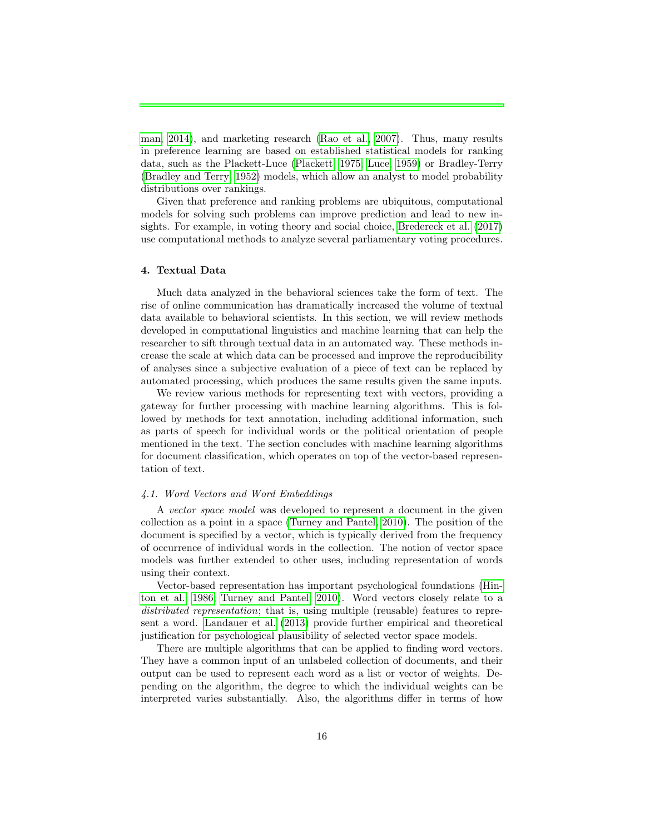[man, 2014\)](#page-29-7), and marketing research [\(Rao et al., 2007\)](#page-36-5). Thus, many results in preference learning are based on established statistical models for ranking data, such as the Plackett-Luce [\(Plackett, 1975;](#page-36-6) [Luce, 1959\)](#page-34-5) or Bradley-Terry [\(Bradley and Terry, 1952\)](#page-28-6) models, which allow an analyst to model probability distributions over rankings.

Given that preference and ranking problems are ubiquitous, computational models for solving such problems can improve prediction and lead to new insights. For example, in voting theory and social choice, [Bredereck et al.](#page-28-7) [\(2017\)](#page-28-7) use computational methods to analyze several parliamentary voting procedures.

# 4. Textual Data

Much data analyzed in the behavioral sciences take the form of text. The rise of online communication has dramatically increased the volume of textual data available to behavioral scientists. In this section, we will review methods developed in computational linguistics and machine learning that can help the researcher to sift through textual data in an automated way. These methods increase the scale at which data can be processed and improve the reproducibility of analyses since a subjective evaluation of a piece of text can be replaced by automated processing, which produces the same results given the same inputs.

We review various methods for representing text with vectors, providing a gateway for further processing with machine learning algorithms. This is followed by methods for text annotation, including additional information, such as parts of speech for individual words or the political orientation of people mentioned in the text. The section concludes with machine learning algorithms for document classification, which operates on top of the vector-based representation of text.

## 4.1. Word Vectors and Word Embeddings

A vector space model was developed to represent a document in the given collection as a point in a space [\(Turney and Pantel, 2010\)](#page-39-4). The position of the document is specified by a vector, which is typically derived from the frequency of occurrence of individual words in the collection. The notion of vector space models was further extended to other uses, including representation of words using their context.

Vector-based representation has important psychological foundations [\(Hin](#page-33-9)[ton et al., 1986;](#page-33-9) [Turney and Pantel, 2010\)](#page-39-4). Word vectors closely relate to a distributed representation; that is, using multiple (reusable) features to represent a word. [Landauer et al.](#page-34-6) [\(2013\)](#page-34-6) provide further empirical and theoretical justification for psychological plausibility of selected vector space models.

There are multiple algorithms that can be applied to finding word vectors. They have a common input of an unlabeled collection of documents, and their output can be used to represent each word as a list or vector of weights. Depending on the algorithm, the degree to which the individual weights can be interpreted varies substantially. Also, the algorithms differ in terms of how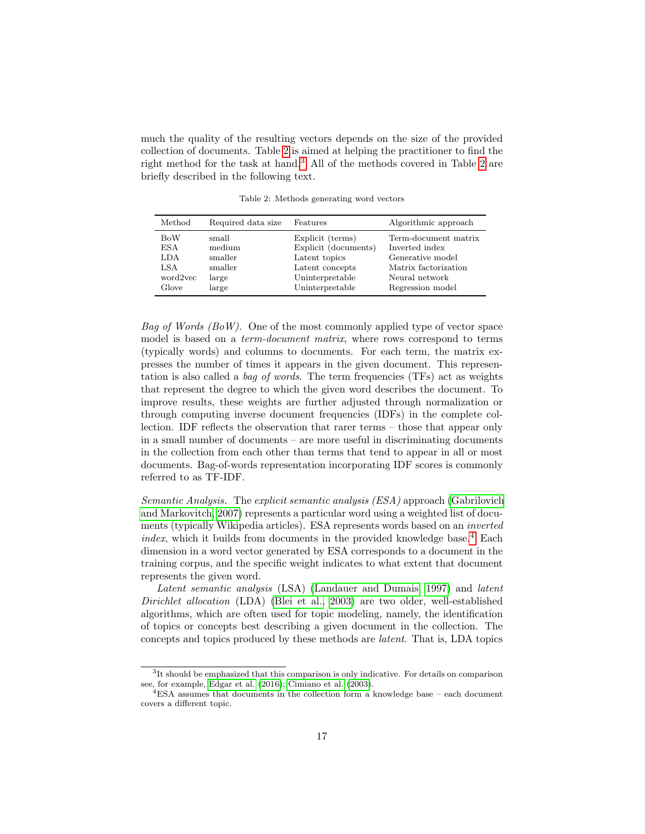much the quality of the resulting vectors depends on the size of the provided collection of documents. Table [2](#page-16-0) is aimed at helping the practitioner to find the right method for the task at hand.<sup>[3](#page-16-1)</sup> All of the methods covered in Table [2](#page-16-0) are briefly described in the following text.

<span id="page-16-0"></span>

| Method     | Required data size | Features             | Algorithmic approach |
|------------|--------------------|----------------------|----------------------|
| <b>BoW</b> | small              | Explicit (terms)     | Term-document matrix |
| ESA        | medium             | Explicit (documents) | Inverted index       |
| LDA        | smaller            | Latent topics        | Generative model     |
| LSA        | smaller            | Latent concepts      | Matrix factorization |
| word2vec   | large              | Uninterpretable      | Neural network       |
| Glove      | large              | Uninterpretable      | Regression model     |

Table 2: Methods generating word vectors

Bag of Words  $(BoW)$ . One of the most commonly applied type of vector space model is based on a *term-document matrix*, where rows correspond to terms (typically words) and columns to documents. For each term, the matrix expresses the number of times it appears in the given document. This representation is also called a bag of words. The term frequencies (TFs) act as weights that represent the degree to which the given word describes the document. To improve results, these weights are further adjusted through normalization or through computing inverse document frequencies (IDFs) in the complete collection. IDF reflects the observation that rarer terms – those that appear only in a small number of documents – are more useful in discriminating documents in the collection from each other than terms that tend to appear in all or most documents. Bag-of-words representation incorporating IDF scores is commonly referred to as TF-IDF.

Semantic Analysis. The explicit semantic analysis (ESA) approach [\(Gabrilovich](#page-31-8) [and Markovitch, 2007\)](#page-31-8) represents a particular word using a weighted list of documents (typically Wikipedia articles). ESA represents words based on an inverted *index*, which it builds from documents in the provided knowledge base.<sup>[4](#page-16-2)</sup> Each dimension in a word vector generated by ESA corresponds to a document in the training corpus, and the specific weight indicates to what extent that document represents the given word.

Latent semantic analysis (LSA) [\(Landauer and Dumais, 1997\)](#page-34-7) and *latent* Dirichlet allocation (LDA) [\(Blei et al., 2003\)](#page-28-8) are two older, well-established algorithms, which are often used for topic modeling, namely, the identification of topics or concepts best describing a given document in the collection. The concepts and topics produced by these methods are latent. That is, LDA topics

<span id="page-16-1"></span><sup>&</sup>lt;sup>3</sup>It should be emphasized that this comparison is only indicative. For details on comparison see, for example, [Edgar et al.](#page-30-5) [\(2016\)](#page-30-5); [Cimiano et al.](#page-29-8) [\(2003\)](#page-29-8).

<span id="page-16-2"></span><sup>4</sup>ESA assumes that documents in the collection form a knowledge base – each document covers a different topic.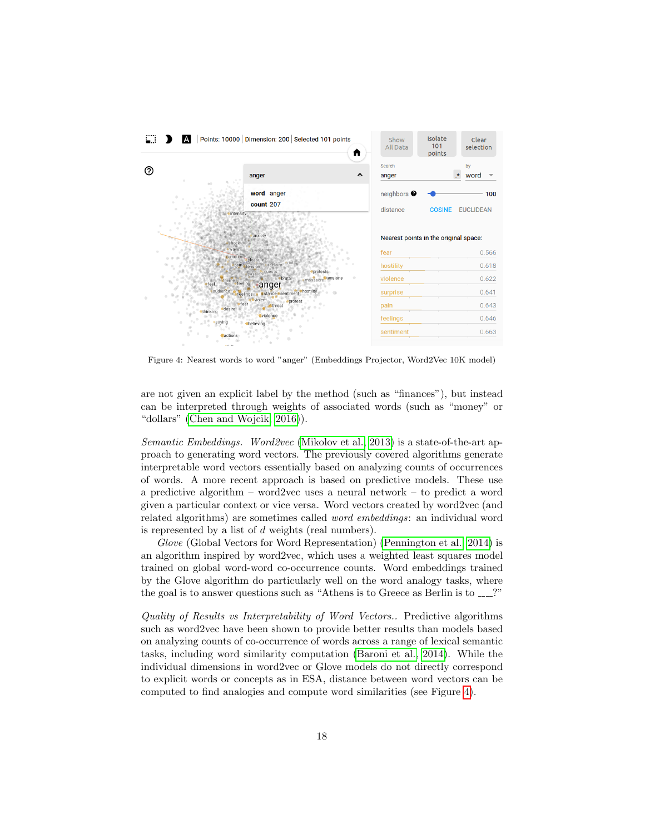<span id="page-17-0"></span>

Figure 4: Nearest words to word "anger" (Embeddings Projector, Word2Vec 10K model)

are not given an explicit label by the method (such as "finances"), but instead can be interpreted through weights of associated words (such as "money" or "dollars" [\(Chen and Wojcik, 2016\)](#page-28-9)).

Semantic Embeddings. Word2vec [\(Mikolov et al., 2013\)](#page-35-8) is a state-of-the-art approach to generating word vectors. The previously covered algorithms generate interpretable word vectors essentially based on analyzing counts of occurrences of words. A more recent approach is based on predictive models. These use a predictive algorithm – word2vec uses a neural network – to predict a word given a particular context or vice versa. Word vectors created by word2vec (and related algorithms) are sometimes called word embeddings: an individual word is represented by a list of d weights (real numbers).

Glove (Global Vectors for Word Representation) [\(Pennington et al., 2014\)](#page-36-7) is an algorithm inspired by word2vec, which uses a weighted least squares model trained on global word-word co-occurrence counts. Word embeddings trained by the Glove algorithm do particularly well on the word analogy tasks, where the goal is to answer questions such as "Athens is to Greece as Berlin is to  $\ldots$ ...?"

Quality of Results vs Interpretability of Word Vectors.. Predictive algorithms such as word2vec have been shown to provide better results than models based on analyzing counts of co-occurrence of words across a range of lexical semantic tasks, including word similarity computation [\(Baroni et al., 2014\)](#page-27-5). While the individual dimensions in word2vec or Glove models do not directly correspond to explicit words or concepts as in ESA, distance between word vectors can be computed to find analogies and compute word similarities (see Figure [4\)](#page-17-0).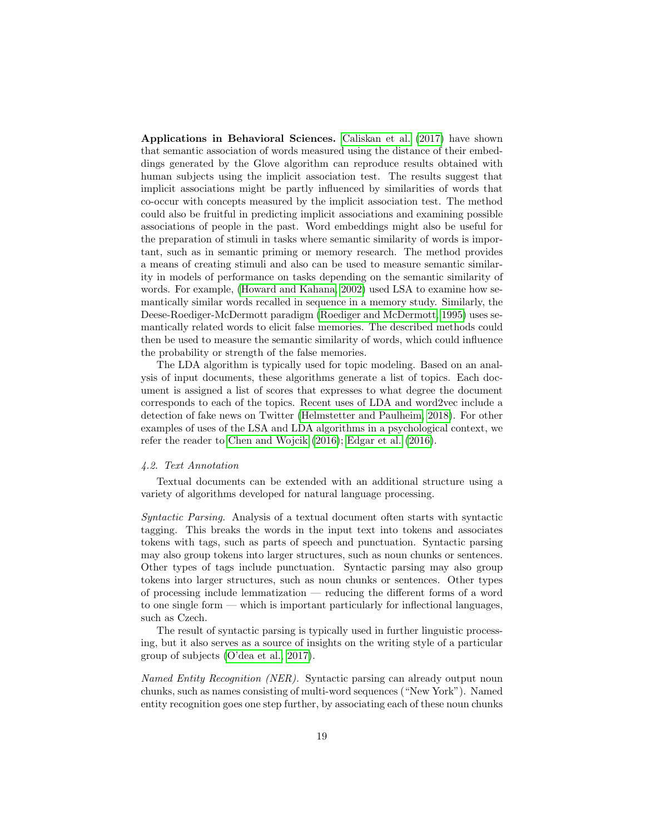Applications in Behavioral Sciences. [Caliskan et al.](#page-28-10) [\(2017\)](#page-28-10) have shown that semantic association of words measured using the distance of their embeddings generated by the Glove algorithm can reproduce results obtained with human subjects using the implicit association test. The results suggest that implicit associations might be partly influenced by similarities of words that co-occur with concepts measured by the implicit association test. The method could also be fruitful in predicting implicit associations and examining possible associations of people in the past. Word embeddings might also be useful for the preparation of stimuli in tasks where semantic similarity of words is important, such as in semantic priming or memory research. The method provides a means of creating stimuli and also can be used to measure semantic similarity in models of performance on tasks depending on the semantic similarity of words. For example, [\(Howard and Kahana, 2002\)](#page-33-10) used LSA to examine how semantically similar words recalled in sequence in a memory study. Similarly, the Deese-Roediger-McDermott paradigm [\(Roediger and McDermott, 1995\)](#page-37-9) uses semantically related words to elicit false memories. The described methods could then be used to measure the semantic similarity of words, which could influence the probability or strength of the false memories.

The LDA algorithm is typically used for topic modeling. Based on an analysis of input documents, these algorithms generate a list of topics. Each document is assigned a list of scores that expresses to what degree the document corresponds to each of the topics. Recent uses of LDA and word2vec include a detection of fake news on Twitter [\(Helmstetter and Paulheim, 2018\)](#page-32-6). For other examples of uses of the LSA and LDA algorithms in a psychological context, we refer the reader to [Chen and Wojcik](#page-28-9) [\(2016\)](#page-28-9); [Edgar et al.](#page-30-5) [\(2016\)](#page-30-5).

### 4.2. Text Annotation

Textual documents can be extended with an additional structure using a variety of algorithms developed for natural language processing.

Syntactic Parsing. Analysis of a textual document often starts with syntactic tagging. This breaks the words in the input text into tokens and associates tokens with tags, such as parts of speech and punctuation. Syntactic parsing may also group tokens into larger structures, such as noun chunks or sentences. Other types of tags include punctuation. Syntactic parsing may also group tokens into larger structures, such as noun chunks or sentences. Other types of processing include lemmatization — reducing the different forms of a word to one single form — which is important particularly for inflectional languages, such as Czech.

The result of syntactic parsing is typically used in further linguistic processing, but it also serves as a source of insights on the writing style of a particular group of subjects [\(O'dea et al., 2017\)](#page-35-9).

Named Entity Recognition *(NER)*. Syntactic parsing can already output noun chunks, such as names consisting of multi-word sequences ("New York"). Named entity recognition goes one step further, by associating each of these noun chunks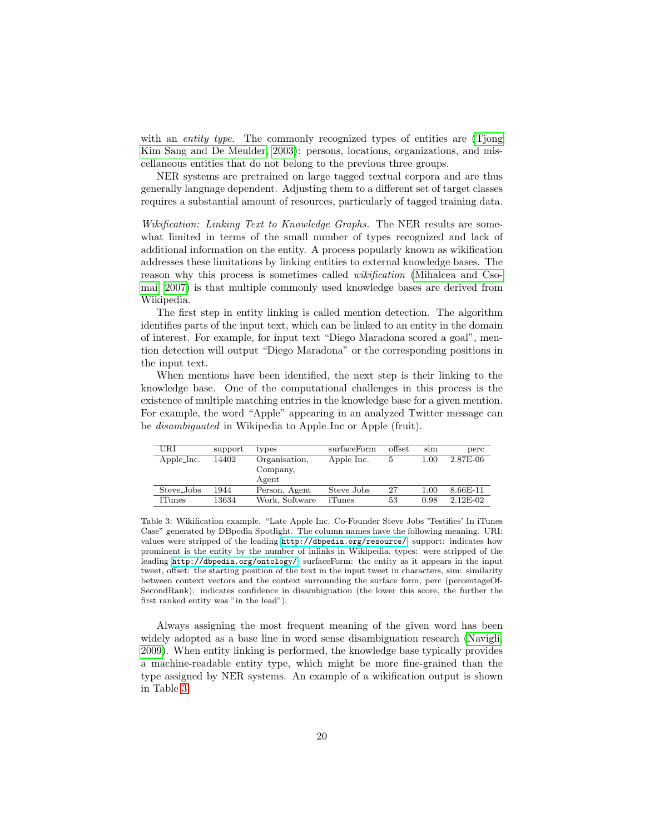with an *entity type*. The commonly recognized types of entities are [\(Tjong](#page-39-5) [Kim Sang and De Meulder, 2003\)](#page-39-5): persons, locations, organizations, and miscellaneous entities that do not belong to the previous three groups.

NER systems are pretrained on large tagged textual corpora and are thus generally language dependent. Adjusting them to a different set of target classes requires a substantial amount of resources, particularly of tagged training data.

Wikification: Linking Text to Knowledge Graphs. The NER results are somewhat limited in terms of the small number of types recognized and lack of additional information on the entity. A process popularly known as wikification addresses these limitations by linking entities to external knowledge bases. The reason why this process is sometimes called wikification [\(Mihalcea and Cso](#page-35-10)[mai, 2007\)](#page-35-10) is that multiple commonly used knowledge bases are derived from Wikipedia.

The first step in entity linking is called mention detection. The algorithm identifies parts of the input text, which can be linked to an entity in the domain of interest. For example, for input text "Diego Maradona scored a goal", mention detection will output "Diego Maradona" or the corresponding positions in the input text.

When mentions have been identified, the next step is their linking to the knowledge base. One of the computational challenges in this process is the existence of multiple matching entries in the knowledge base for a given mention. For example, the word "Apple" appearing in an analyzed Twitter message can be disambiguated in Wikipedia to Apple Inc or Apple (fruit).

<span id="page-19-0"></span>

| URI                    | support | types                              | surfaceForm | offset | sim  | perc       |
|------------------------|---------|------------------------------------|-------------|--------|------|------------|
| Apple_Inc.             | 14402   | Organisation,<br>Company,<br>Agent | Apple Inc.  |        | 1.00 | 2.87E-06   |
| Steve <sub>-Jobs</sub> | 1944    | Person, Agent                      | Steve Jobs  | 27     | 1.00 | $8.66E-11$ |
| <b>ITunes</b>          | 13634   | Work, Software                     | iTunes      | 53     | 0.98 | $2.12E-02$ |

Table 3: Wikification example. "Late Apple Inc. Co-Founder Steve Jobs 'Testifies' In iTunes Case" generated by DBpedia Spotlight. The column names have the following meaning. URI: values were stripped of the leading <http://dbpedia.org/resource/>, support: indicates how prominent is the entity by the number of inlinks in Wikipedia, types: were stripped of the leading <http://dbpedia.org/ontology/>, surfaceForm: the entity as it appears in the input tweet, offset: the starting position of the text in the input tweet in characters, sim: similarity between context vectors and the context surrounding the surface form, perc (percentageOf-SecondRank): indicates confidence in disambiguation (the lower this score, the further the first ranked entity was "in the lead").

Always assigning the most frequent meaning of the given word has been widely adopted as a base line in word sense disambiguation research [\(Navigli,](#page-35-11) [2009\)](#page-35-11). When entity linking is performed, the knowledge base typically provides a machine-readable entity type, which might be more fine-grained than the type assigned by NER systems. An example of a wikification output is shown in Table [3.](#page-19-0)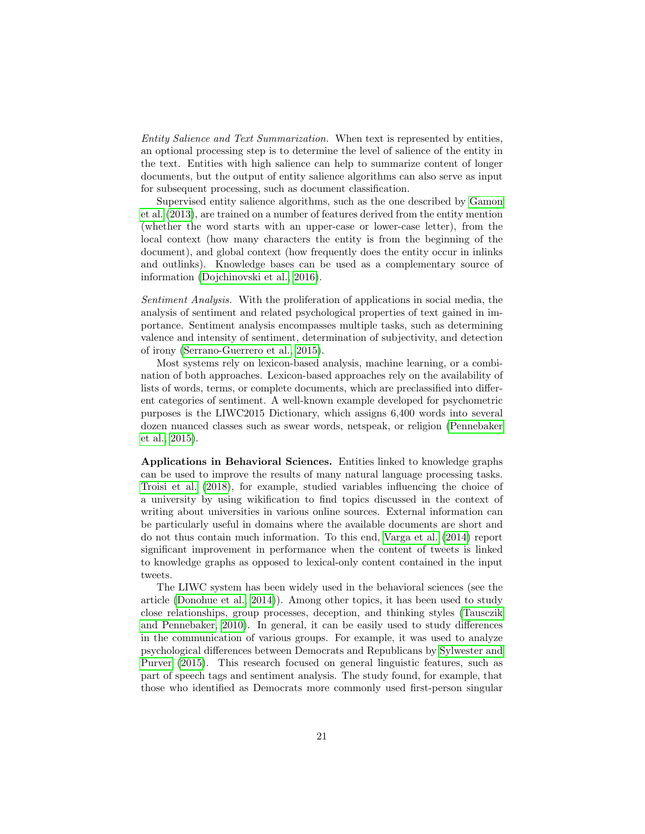Entity Salience and Text Summarization. When text is represented by entities, an optional processing step is to determine the level of salience of the entity in the text. Entities with high salience can help to summarize content of longer documents, but the output of entity salience algorithms can also serve as input for subsequent processing, such as document classification.

Supervised entity salience algorithms, such as the one described by [Gamon](#page-31-9) [et al.](#page-31-9) [\(2013\)](#page-31-9), are trained on a number of features derived from the entity mention (whether the word starts with an upper-case or lower-case letter), from the local context (how many characters the entity is from the beginning of the document), and global context (how frequently does the entity occur in inlinks and outlinks). Knowledge bases can be used as a complementary source of information [\(Dojchinovski et al., 2016\)](#page-29-9).

Sentiment Analysis. With the proliferation of applications in social media, the analysis of sentiment and related psychological properties of text gained in importance. Sentiment analysis encompasses multiple tasks, such as determining valence and intensity of sentiment, determination of subjectivity, and detection of irony [\(Serrano-Guerrero et al., 2015\)](#page-37-10).

Most systems rely on lexicon-based analysis, machine learning, or a combination of both approaches. Lexicon-based approaches rely on the availability of lists of words, terms, or complete documents, which are preclassified into different categories of sentiment. A well-known example developed for psychometric purposes is the LIWC2015 Dictionary, which assigns 6,400 words into several dozen nuanced classes such as swear words, netspeak, or religion [\(Pennebaker](#page-36-8) [et al., 2015\)](#page-36-8).

Applications in Behavioral Sciences. Entities linked to knowledge graphs can be used to improve the results of many natural language processing tasks. [Troisi et al.](#page-39-6) [\(2018\)](#page-39-6), for example, studied variables influencing the choice of a university by using wikification to find topics discussed in the context of writing about universities in various online sources. External information can be particularly useful in domains where the available documents are short and do not thus contain much information. To this end, [Varga et al.](#page-39-7) [\(2014\)](#page-39-7) report significant improvement in performance when the content of tweets is linked to knowledge graphs as opposed to lexical-only content contained in the input tweets.

The LIWC system has been widely used in the behavioral sciences (see the article [\(Donohue et al., 2014\)](#page-29-10)). Among other topics, it has been used to study close relationships, group processes, deception, and thinking styles [\(Tausczik](#page-38-5) [and Pennebaker, 2010\)](#page-38-5). In general, it can be easily used to study differences in the communication of various groups. For example, it was used to analyze psychological differences between Democrats and Republicans by [Sylwester and](#page-38-6) [Purver](#page-38-6) [\(2015\)](#page-38-6). This research focused on general linguistic features, such as part of speech tags and sentiment analysis. The study found, for example, that those who identified as Democrats more commonly used first-person singular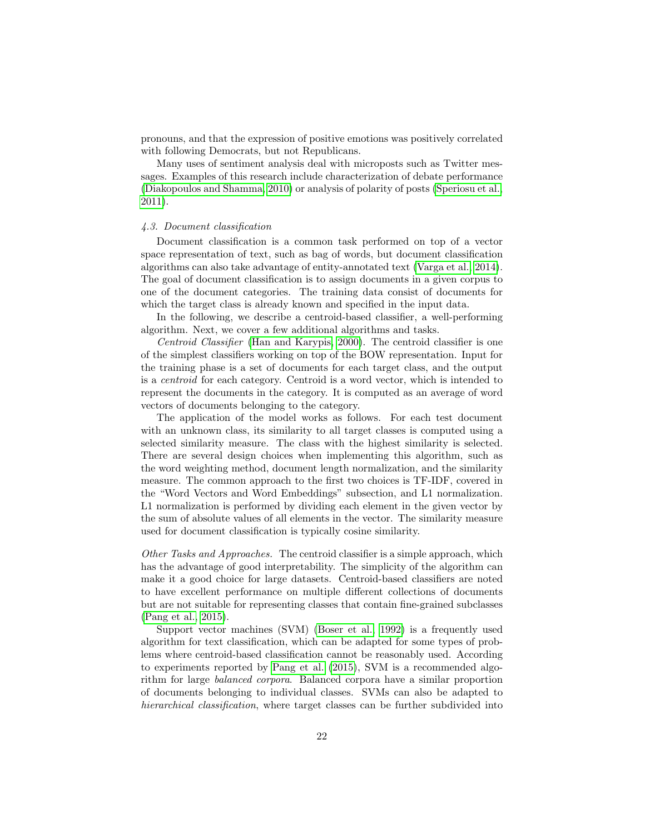pronouns, and that the expression of positive emotions was positively correlated with following Democrats, but not Republicans.

Many uses of sentiment analysis deal with microposts such as Twitter messages. Examples of this research include characterization of debate performance [\(Diakopoulos and Shamma, 2010\)](#page-29-11) or analysis of polarity of posts [\(Speriosu et al.,](#page-38-7) [2011\)](#page-38-7).

## 4.3. Document classification

Document classification is a common task performed on top of a vector space representation of text, such as bag of words, but document classification algorithms can also take advantage of entity-annotated text [\(Varga et al., 2014\)](#page-39-7). The goal of document classification is to assign documents in a given corpus to one of the document categories. The training data consist of documents for which the target class is already known and specified in the input data.

In the following, we describe a centroid-based classifier, a well-performing algorithm. Next, we cover a few additional algorithms and tasks.

Centroid Classifier [\(Han and Karypis, 2000\)](#page-32-7). The centroid classifier is one of the simplest classifiers working on top of the BOW representation. Input for the training phase is a set of documents for each target class, and the output is a centroid for each category. Centroid is a word vector, which is intended to represent the documents in the category. It is computed as an average of word vectors of documents belonging to the category.

The application of the model works as follows. For each test document with an unknown class, its similarity to all target classes is computed using a selected similarity measure. The class with the highest similarity is selected. There are several design choices when implementing this algorithm, such as the word weighting method, document length normalization, and the similarity measure. The common approach to the first two choices is TF-IDF, covered in the "Word Vectors and Word Embeddings" subsection, and L1 normalization. L1 normalization is performed by dividing each element in the given vector by the sum of absolute values of all elements in the vector. The similarity measure used for document classification is typically cosine similarity.

Other Tasks and Approaches. The centroid classifier is a simple approach, which has the advantage of good interpretability. The simplicity of the algorithm can make it a good choice for large datasets. Centroid-based classifiers are noted to have excellent performance on multiple different collections of documents but are not suitable for representing classes that contain fine-grained subclasses [\(Pang et al., 2015\)](#page-35-12).

Support vector machines (SVM) [\(Boser et al., 1992\)](#page-28-11) is a frequently used algorithm for text classification, which can be adapted for some types of problems where centroid-based classification cannot be reasonably used. According to experiments reported by [Pang et al.](#page-35-12) [\(2015\)](#page-35-12), SVM is a recommended algorithm for large balanced corpora. Balanced corpora have a similar proportion of documents belonging to individual classes. SVMs can also be adapted to hierarchical classification, where target classes can be further subdivided into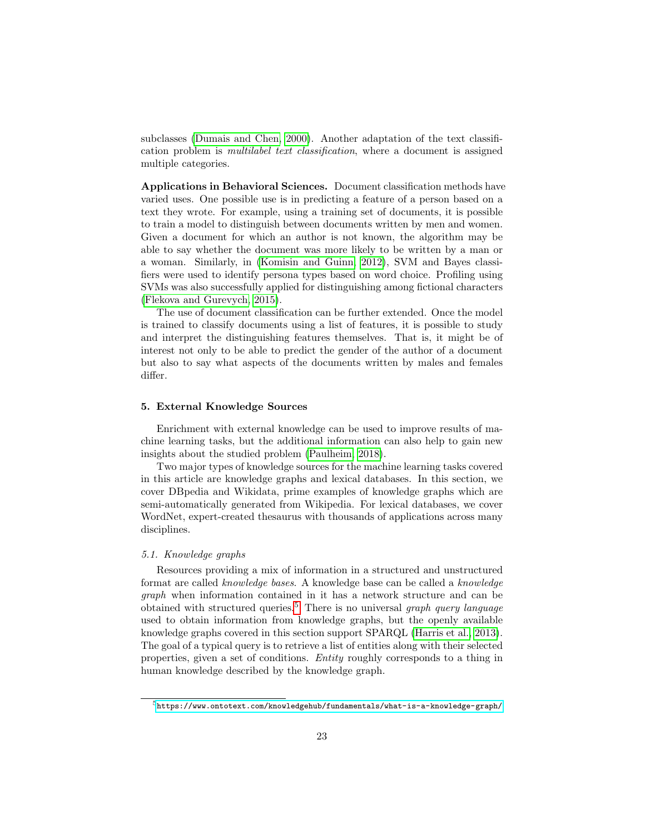subclasses [\(Dumais and Chen, 2000\)](#page-30-6). Another adaptation of the text classification problem is multilabel text classification, where a document is assigned multiple categories.

Applications in Behavioral Sciences. Document classification methods have varied uses. One possible use is in predicting a feature of a person based on a text they wrote. For example, using a training set of documents, it is possible to train a model to distinguish between documents written by men and women. Given a document for which an author is not known, the algorithm may be able to say whether the document was more likely to be written by a man or a woman. Similarly, in [\(Komisin and Guinn, 2012\)](#page-33-11), SVM and Bayes classifiers were used to identify persona types based on word choice. Profiling using SVMs was also successfully applied for distinguishing among fictional characters [\(Flekova and Gurevych, 2015\)](#page-30-7).

The use of document classification can be further extended. Once the model is trained to classify documents using a list of features, it is possible to study and interpret the distinguishing features themselves. That is, it might be of interest not only to be able to predict the gender of the author of a document but also to say what aspects of the documents written by males and females differ.

## 5. External Knowledge Sources

Enrichment with external knowledge can be used to improve results of machine learning tasks, but the additional information can also help to gain new insights about the studied problem [\(Paulheim, 2018\)](#page-36-9).

Two major types of knowledge sources for the machine learning tasks covered in this article are knowledge graphs and lexical databases. In this section, we cover DBpedia and Wikidata, prime examples of knowledge graphs which are semi-automatically generated from Wikipedia. For lexical databases, we cover WordNet, expert-created thesaurus with thousands of applications across many disciplines.

## 5.1. Knowledge graphs

Resources providing a mix of information in a structured and unstructured format are called knowledge bases. A knowledge base can be called a knowledge graph when information contained in it has a network structure and can be obtained with structured queries.<sup>[5](#page-22-0)</sup> There is no universal graph query language used to obtain information from knowledge graphs, but the openly available knowledge graphs covered in this section support SPARQL [\(Harris et al., 2013\)](#page-32-8). The goal of a typical query is to retrieve a list of entities along with their selected properties, given a set of conditions. Entity roughly corresponds to a thing in human knowledge described by the knowledge graph.

<span id="page-22-0"></span><sup>5</sup><https://www.ontotext.com/knowledgehub/fundamentals/what-is-a-knowledge-graph/>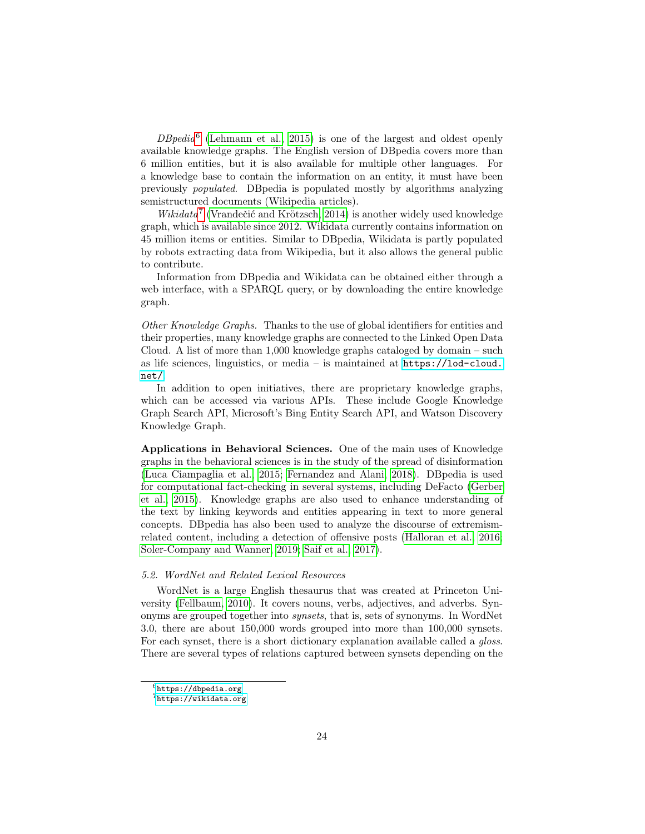$DBpedia<sup>6</sup>$  $DBpedia<sup>6</sup>$  $DBpedia<sup>6</sup>$  [\(Lehmann et al., 2015\)](#page-34-8) is one of the largest and oldest openly available knowledge graphs. The English version of DBpedia covers more than 6 million entities, but it is also available for multiple other languages. For a knowledge base to contain the information on an entity, it must have been previously populated. DBpedia is populated mostly by algorithms analyzing semistructured documents (Wikipedia articles).

Wikidata<sup>[7](#page-23-1)</sup> (Vrandečić and Krötzsch, 2014) is another widely used knowledge graph, which is available since 2012. Wikidata currently contains information on 45 million items or entities. Similar to DBpedia, Wikidata is partly populated by robots extracting data from Wikipedia, but it also allows the general public to contribute.

Information from DBpedia and Wikidata can be obtained either through a web interface, with a SPARQL query, or by downloading the entire knowledge graph.

Other Knowledge Graphs. Thanks to the use of global identifiers for entities and their properties, many knowledge graphs are connected to the Linked Open Data Cloud. A list of more than  $1,000$  knowledge graphs cataloged by domain – such as life sciences, linguistics, or media – is maintained at [https://lod-cloud.](https://lod-cloud.net/) [net/](https://lod-cloud.net/).

In addition to open initiatives, there are proprietary knowledge graphs, which can be accessed via various APIs. These include Google Knowledge Graph Search API, Microsoft's Bing Entity Search API, and Watson Discovery Knowledge Graph.

Applications in Behavioral Sciences. One of the main uses of Knowledge graphs in the behavioral sciences is in the study of the spread of disinformation [\(Luca Ciampaglia et al., 2015;](#page-34-9) [Fernandez and Alani, 2018\)](#page-30-8). DBpedia is used for computational fact-checking in several systems, including DeFacto [\(Gerber](#page-31-10) [et al., 2015\)](#page-31-10). Knowledge graphs are also used to enhance understanding of the text by linking keywords and entities appearing in text to more general concepts. DBpedia has also been used to analyze the discourse of extremismrelated content, including a detection of offensive posts [\(Halloran et al., 2016;](#page-32-9) [Soler-Company and Wanner, 2019;](#page-38-8) [Saif et al., 2017\)](#page-37-11).

## 5.2. WordNet and Related Lexical Resources

WordNet is a large English thesaurus that was created at Princeton University [\(Fellbaum, 2010\)](#page-30-9). It covers nouns, verbs, adjectives, and adverbs. Synonyms are grouped together into synsets, that is, sets of synonyms. In WordNet 3.0, there are about 150,000 words grouped into more than 100,000 synsets. For each synset, there is a short dictionary explanation available called a *gloss*. There are several types of relations captured between synsets depending on the

<span id="page-23-0"></span> $6$ <https://dbpedia.org>

<span id="page-23-1"></span><sup>7</sup><https://wikidata.org>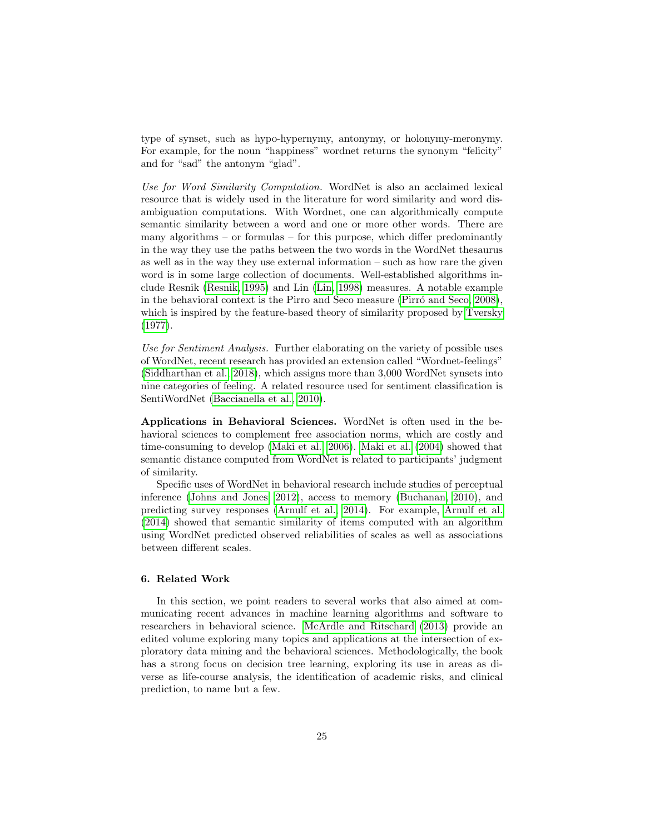type of synset, such as hypo-hypernymy, antonymy, or holonymy-meronymy. For example, for the noun "happiness" wordnet returns the synonym "felicity" and for "sad" the antonym "glad".

Use for Word Similarity Computation. WordNet is also an acclaimed lexical resource that is widely used in the literature for word similarity and word disambiguation computations. With Wordnet, one can algorithmically compute semantic similarity between a word and one or more other words. There are many algorithms – or formulas – for this purpose, which differ predominantly in the way they use the paths between the two words in the WordNet thesaurus as well as in the way they use external information – such as how rare the given word is in some large collection of documents. Well-established algorithms include Resnik [\(Resnik, 1995\)](#page-36-10) and Lin [\(Lin, 1998\)](#page-34-10) measures. A notable example in the behavioral context is the Pirro and Seco measure (Pirró and Seco,  $2008$ ), which is inspired by the feature-based theory of similarity proposed by [Tversky](#page-39-9) [\(1977\)](#page-39-9).

Use for Sentiment Analysis. Further elaborating on the variety of possible uses of WordNet, recent research has provided an extension called "Wordnet-feelings" [\(Siddharthan et al., 2018\)](#page-38-9), which assigns more than 3,000 WordNet synsets into nine categories of feeling. A related resource used for sentiment classification is SentiWordNet [\(Baccianella et al., 2010\)](#page-27-6).

Applications in Behavioral Sciences. WordNet is often used in the behavioral sciences to complement free association norms, which are costly and time-consuming to develop [\(Maki et al., 2006\)](#page-35-13). [Maki et al.](#page-34-11) [\(2004\)](#page-34-11) showed that semantic distance computed from WordNet is related to participants' judgment of similarity.

Specific uses of WordNet in behavioral research include studies of perceptual inference [\(Johns and Jones, 2012\)](#page-33-12), access to memory [\(Buchanan, 2010\)](#page-28-12), and predicting survey responses [\(Arnulf et al., 2014\)](#page-27-7). For example, [Arnulf et al.](#page-27-7) [\(2014\)](#page-27-7) showed that semantic similarity of items computed with an algorithm using WordNet predicted observed reliabilities of scales as well as associations between different scales.

# 6. Related Work

In this section, we point readers to several works that also aimed at communicating recent advances in machine learning algorithms and software to researchers in behavioral science. [McArdle and Ritschard](#page-35-1) [\(2013\)](#page-35-1) provide an edited volume exploring many topics and applications at the intersection of exploratory data mining and the behavioral sciences. Methodologically, the book has a strong focus on decision tree learning, exploring its use in areas as diverse as life-course analysis, the identification of academic risks, and clinical prediction, to name but a few.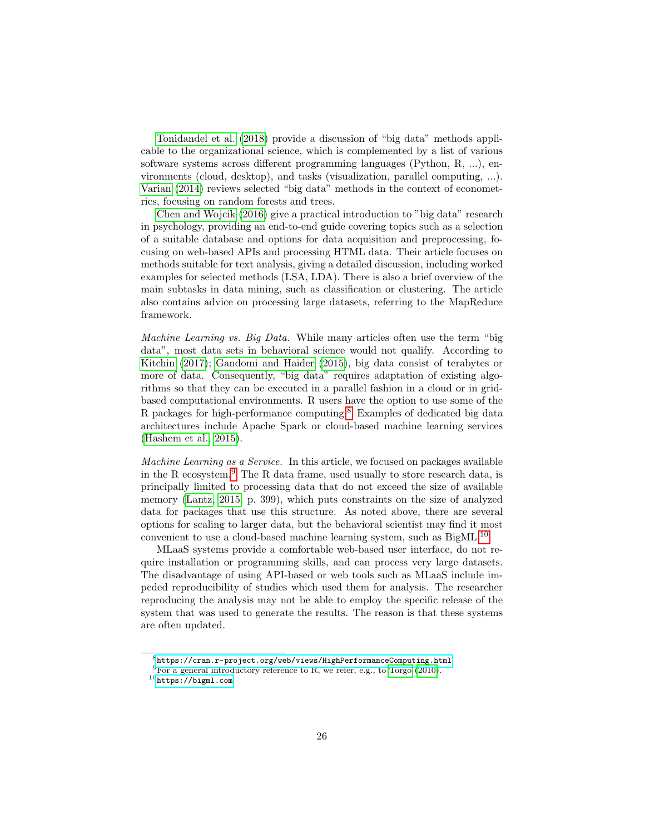[Tonidandel et al.](#page-39-10) [\(2018\)](#page-39-10) provide a discussion of "big data" methods applicable to the organizational science, which is complemented by a list of various software systems across different programming languages (Python, R, ...), environments (cloud, desktop), and tasks (visualization, parallel computing, ...). [Varian](#page-39-11) [\(2014\)](#page-39-11) reviews selected "big data" methods in the context of econometrics, focusing on random forests and trees.

[Chen and Wojcik](#page-28-9) [\(2016\)](#page-28-9) give a practical introduction to "big data" research in psychology, providing an end-to-end guide covering topics such as a selection of a suitable database and options for data acquisition and preprocessing, focusing on web-based APIs and processing HTML data. Their article focuses on methods suitable for text analysis, giving a detailed discussion, including worked examples for selected methods (LSA, LDA). There is also a brief overview of the main subtasks in data mining, such as classification or clustering. The article also contains advice on processing large datasets, referring to the MapReduce framework.

Machine Learning vs. Big Data. While many articles often use the term "big" data", most data sets in behavioral science would not qualify. According to [Kitchin](#page-33-13) [\(2017\)](#page-33-13); [Gandomi and Haider](#page-31-11) [\(2015\)](#page-31-11), big data consist of terabytes or more of data. Consequently, "big data" requires adaptation of existing algorithms so that they can be executed in a parallel fashion in a cloud or in gridbased computational environments. R users have the option to use some of the R packages for high-performance computing.[8](#page-25-0) Examples of dedicated big data architectures include Apache Spark or cloud-based machine learning services [\(Hashem et al., 2015\)](#page-32-10).

Machine Learning as a Service. In this article, we focused on packages available in the R ecosystem. $9$  The R data frame, used usually to store research data, is principally limited to processing data that do not exceed the size of available memory [\(Lantz, 2015,](#page-34-12) p. 399), which puts constraints on the size of analyzed data for packages that use this structure. As noted above, there are several options for scaling to larger data, but the behavioral scientist may find it most convenient to use a cloud-based machine learning system, such as  $BigML^{10}$  $BigML^{10}$  $BigML^{10}$ 

MLaaS systems provide a comfortable web-based user interface, do not require installation or programming skills, and can process very large datasets. The disadvantage of using API-based or web tools such as MLaaS include impeded reproducibility of studies which used them for analysis. The researcher reproducing the analysis may not be able to employ the specific release of the system that was used to generate the results. The reason is that these systems are often updated.

<span id="page-25-0"></span><sup>8</sup><https://cran.r-project.org/web/views/HighPerformanceComputing.html>

<span id="page-25-1"></span> $^{9}$ For a general introductory reference to R, we refer, e.g., to [Torgo](#page-39-12) [\(2010\)](#page-39-12).

<span id="page-25-2"></span><sup>10</sup><https://bigml.com>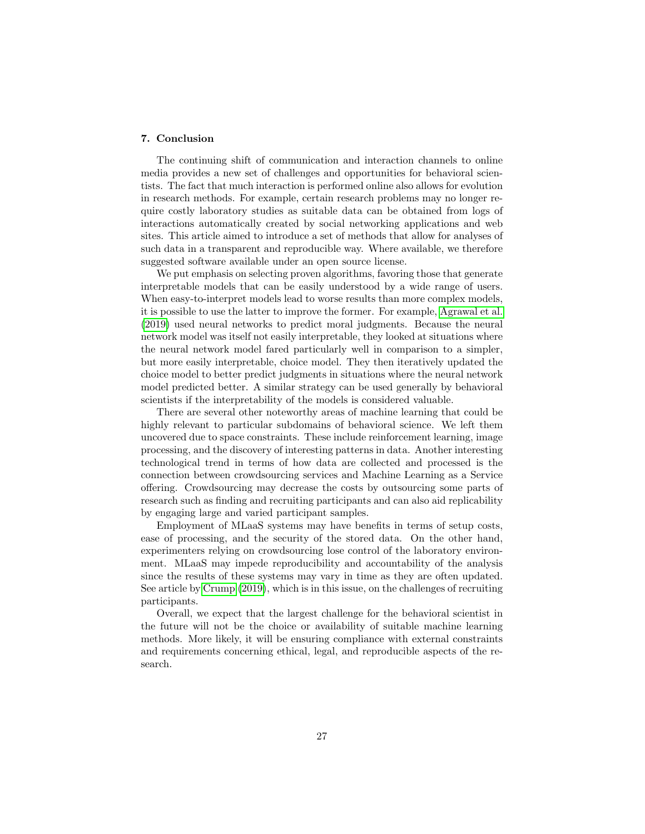# 7. Conclusion

The continuing shift of communication and interaction channels to online media provides a new set of challenges and opportunities for behavioral scientists. The fact that much interaction is performed online also allows for evolution in research methods. For example, certain research problems may no longer require costly laboratory studies as suitable data can be obtained from logs of interactions automatically created by social networking applications and web sites. This article aimed to introduce a set of methods that allow for analyses of such data in a transparent and reproducible way. Where available, we therefore suggested software available under an open source license.

We put emphasis on selecting proven algorithms, favoring those that generate interpretable models that can be easily understood by a wide range of users. When easy-to-interpret models lead to worse results than more complex models, it is possible to use the latter to improve the former. For example, [Agrawal et al.](#page-27-8) [\(2019\)](#page-27-8) used neural networks to predict moral judgments. Because the neural network model was itself not easily interpretable, they looked at situations where the neural network model fared particularly well in comparison to a simpler, but more easily interpretable, choice model. They then iteratively updated the choice model to better predict judgments in situations where the neural network model predicted better. A similar strategy can be used generally by behavioral scientists if the interpretability of the models is considered valuable.

There are several other noteworthy areas of machine learning that could be highly relevant to particular subdomains of behavioral science. We left them uncovered due to space constraints. These include reinforcement learning, image processing, and the discovery of interesting patterns in data. Another interesting technological trend in terms of how data are collected and processed is the connection between crowdsourcing services and Machine Learning as a Service offering. Crowdsourcing may decrease the costs by outsourcing some parts of research such as finding and recruiting participants and can also aid replicability by engaging large and varied participant samples.

Employment of MLaaS systems may have benefits in terms of setup costs, ease of processing, and the security of the stored data. On the other hand, experimenters relying on crowdsourcing lose control of the laboratory environment. MLaaS may impede reproducibility and accountability of the analysis since the results of these systems may vary in time as they are often updated. See article by [Crump](#page-29-12) [\(2019\)](#page-29-12), which is in this issue, on the challenges of recruiting participants.

Overall, we expect that the largest challenge for the behavioral scientist in the future will not be the choice or availability of suitable machine learning methods. More likely, it will be ensuring compliance with external constraints and requirements concerning ethical, legal, and reproducible aspects of the research.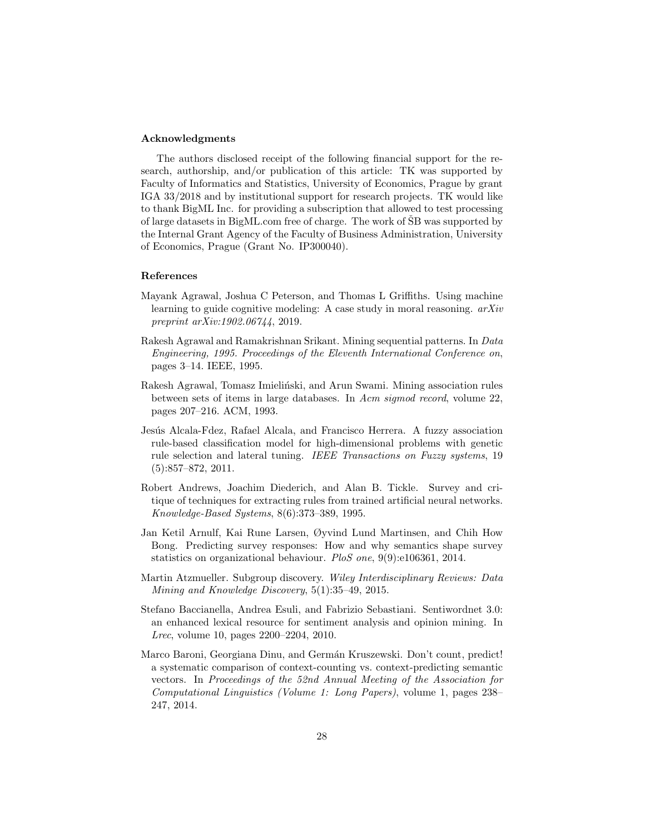# Acknowledgments

The authors disclosed receipt of the following financial support for the research, authorship, and/or publication of this article: TK was supported by Faculty of Informatics and Statistics, University of Economics, Prague by grant IGA 33/2018 and by institutional support for research projects. TK would like to thank BigML Inc. for providing a subscription that allowed to test processing of large datasets in BigML.com free of charge. The work of SB was supported by the Internal Grant Agency of the Faculty of Business Administration, University of Economics, Prague (Grant No. IP300040).

## References

- <span id="page-27-8"></span>Mayank Agrawal, Joshua C Peterson, and Thomas L Griffiths. Using machine learning to guide cognitive modeling: A case study in moral reasoning.  $arXiv$ preprint arXiv:1902.06744, 2019.
- <span id="page-27-4"></span>Rakesh Agrawal and Ramakrishnan Srikant. Mining sequential patterns. In Data Engineering, 1995. Proceedings of the Eleventh International Conference on, pages 3–14. IEEE, 1995.
- <span id="page-27-1"></span>Rakesh Agrawal, Tomasz Imieliński, and Arun Swami. Mining association rules between sets of items in large databases. In Acm sigmod record, volume 22, pages 207–216. ACM, 1993.
- <span id="page-27-0"></span>Jesús Alcala-Fdez, Rafael Alcala, and Francisco Herrera. A fuzzy association rule-based classification model for high-dimensional problems with genetic rule selection and lateral tuning. IEEE Transactions on Fuzzy systems, 19 (5):857–872, 2011.
- <span id="page-27-3"></span>Robert Andrews, Joachim Diederich, and Alan B. Tickle. Survey and critique of techniques for extracting rules from trained artificial neural networks. Knowledge-Based Systems, 8(6):373–389, 1995.
- <span id="page-27-7"></span>Jan Ketil Arnulf, Kai Rune Larsen, Øyvind Lund Martinsen, and Chih How Bong. Predicting survey responses: How and why semantics shape survey statistics on organizational behaviour. PloS one, 9(9):e106361, 2014.
- <span id="page-27-2"></span>Martin Atzmueller. Subgroup discovery. Wiley Interdisciplinary Reviews: Data Mining and Knowledge Discovery, 5(1):35–49, 2015.
- <span id="page-27-6"></span>Stefano Baccianella, Andrea Esuli, and Fabrizio Sebastiani. Sentiwordnet 3.0: an enhanced lexical resource for sentiment analysis and opinion mining. In Lrec, volume 10, pages 2200–2204, 2010.
- <span id="page-27-5"></span>Marco Baroni, Georgiana Dinu, and Germán Kruszewski. Don't count, predict! a systematic comparison of context-counting vs. context-predicting semantic vectors. In Proceedings of the 52nd Annual Meeting of the Association for Computational Linguistics (Volume 1: Long Papers), volume 1, pages 238– 247, 2014.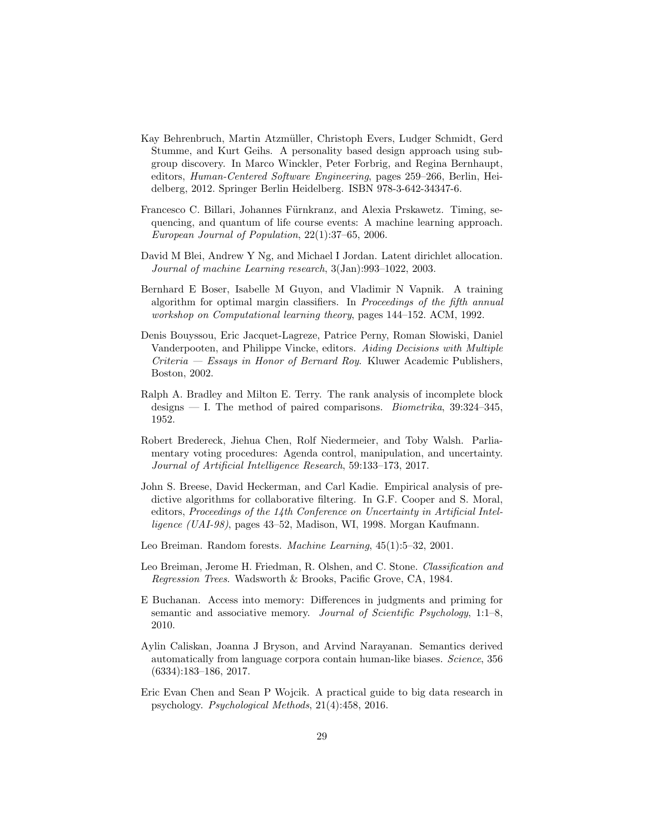- <span id="page-28-3"></span>Kay Behrenbruch, Martin Atzm¨uller, Christoph Evers, Ludger Schmidt, Gerd Stumme, and Kurt Geihs. A personality based design approach using subgroup discovery. In Marco Winckler, Peter Forbrig, and Regina Bernhaupt, editors, Human-Centered Software Engineering, pages 259–266, Berlin, Heidelberg, 2012. Springer Berlin Heidelberg. ISBN 978-3-642-34347-6.
- <span id="page-28-0"></span>Francesco C. Billari, Johannes Fürnkranz, and Alexia Prskawetz. Timing, sequencing, and quantum of life course events: A machine learning approach. European Journal of Population, 22(1):37–65, 2006.
- <span id="page-28-8"></span>David M Blei, Andrew Y Ng, and Michael I Jordan. Latent dirichlet allocation. Journal of machine Learning research, 3(Jan):993–1022, 2003.
- <span id="page-28-11"></span>Bernhard E Boser, Isabelle M Guyon, and Vladimir N Vapnik. A training algorithm for optimal margin classifiers. In Proceedings of the fifth annual workshop on Computational learning theory, pages 144–152. ACM, 1992.
- <span id="page-28-5"></span>Denis Bouyssou, Eric Jacquet-Lagreze, Patrice Perny, Roman Słowiski, Daniel Vanderpooten, and Philippe Vincke, editors. Aiding Decisions with Multiple  $Criteria - Essays$  in Honor of Bernard Roy. Kluwer Academic Publishers, Boston, 2002.
- <span id="page-28-6"></span>Ralph A. Bradley and Milton E. Terry. The rank analysis of incomplete block designs — I. The method of paired comparisons. *Biometrika*,  $39:324-345$ , 1952.
- <span id="page-28-7"></span>Robert Bredereck, Jiehua Chen, Rolf Niedermeier, and Toby Walsh. Parliamentary voting procedures: Agenda control, manipulation, and uncertainty. Journal of Artificial Intelligence Research, 59:133–173, 2017.
- <span id="page-28-4"></span>John S. Breese, David Heckerman, and Carl Kadie. Empirical analysis of predictive algorithms for collaborative filtering. In G.F. Cooper and S. Moral, editors, Proceedings of the 14th Conference on Uncertainty in Artificial Intelligence (UAI-98), pages 43–52, Madison, WI, 1998. Morgan Kaufmann.
- <span id="page-28-2"></span>Leo Breiman. Random forests. Machine Learning, 45(1):5–32, 2001.
- <span id="page-28-1"></span>Leo Breiman, Jerome H. Friedman, R. Olshen, and C. Stone. Classification and Regression Trees. Wadsworth & Brooks, Pacific Grove, CA, 1984.
- <span id="page-28-12"></span>E Buchanan. Access into memory: Differences in judgments and priming for semantic and associative memory. Journal of Scientific Psychology, 1:1-8, 2010.
- <span id="page-28-10"></span>Aylin Caliskan, Joanna J Bryson, and Arvind Narayanan. Semantics derived automatically from language corpora contain human-like biases. Science, 356 (6334):183–186, 2017.
- <span id="page-28-9"></span>Eric Evan Chen and Sean P Wojcik. A practical guide to big data research in psychology. Psychological Methods, 21(4):458, 2016.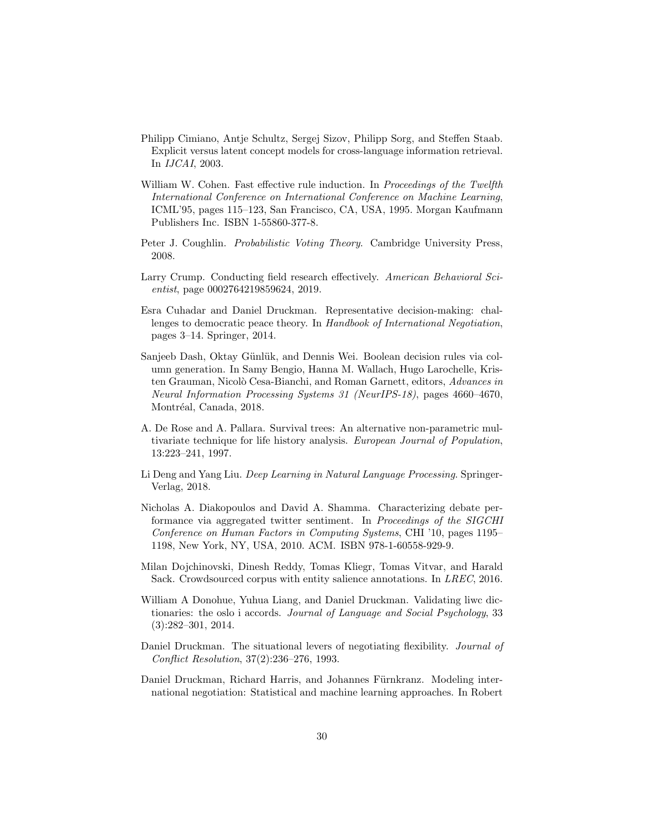- <span id="page-29-8"></span>Philipp Cimiano, Antje Schultz, Sergej Sizov, Philipp Sorg, and Steffen Staab. Explicit versus latent concept models for cross-language information retrieval. In IJCAI, 2003.
- <span id="page-29-2"></span>William W. Cohen. Fast effective rule induction. In Proceedings of the Twelfth International Conference on International Conference on Machine Learning, ICML'95, pages 115–123, San Francisco, CA, USA, 1995. Morgan Kaufmann Publishers Inc. ISBN 1-55860-377-8.
- <span id="page-29-5"></span>Peter J. Coughlin. Probabilistic Voting Theory. Cambridge University Press, 2008.
- <span id="page-29-12"></span>Larry Crump. Conducting field research effectively. American Behavioral Scientist, page 0002764219859624, 2019.
- <span id="page-29-7"></span>Esra Cuhadar and Daniel Druckman. Representative decision-making: challenges to democratic peace theory. In Handbook of International Negotiation, pages 3–14. Springer, 2014.
- <span id="page-29-3"></span>Sanjeeb Dash, Oktay Günlük, and Dennis Wei. Boolean decision rules via column generation. In Samy Bengio, Hanna M. Wallach, Hugo Larochelle, Kristen Grauman, Nicolò Cesa-Bianchi, and Roman Garnett, editors, Advances in Neural Information Processing Systems 31 (NeurIPS-18), pages 4660–4670, Montréal, Canada, 2018.
- <span id="page-29-0"></span>A. De Rose and A. Pallara. Survival trees: An alternative non-parametric multivariate technique for life history analysis. European Journal of Population, 13:223–241, 1997.
- <span id="page-29-4"></span>Li Deng and Yang Liu. Deep Learning in Natural Language Processing. Springer-Verlag, 2018.
- <span id="page-29-11"></span>Nicholas A. Diakopoulos and David A. Shamma. Characterizing debate performance via aggregated twitter sentiment. In Proceedings of the SIGCHI Conference on Human Factors in Computing Systems, CHI '10, pages 1195– 1198, New York, NY, USA, 2010. ACM. ISBN 978-1-60558-929-9.
- <span id="page-29-9"></span>Milan Dojchinovski, Dinesh Reddy, Tomas Kliegr, Tomas Vitvar, and Harald Sack. Crowdsourced corpus with entity salience annotations. In LREC, 2016.
- <span id="page-29-10"></span>William A Donohue, Yuhua Liang, and Daniel Druckman. Validating liwc dictionaries: the oslo i accords. Journal of Language and Social Psychology, 33 (3):282–301, 2014.
- <span id="page-29-6"></span>Daniel Druckman. The situational levers of negotiating flexibility. *Journal of* Conflict Resolution, 37(2):236–276, 1993.
- <span id="page-29-1"></span>Daniel Druckman, Richard Harris, and Johannes Fürnkranz. Modeling international negotiation: Statistical and machine learning approaches. In Robert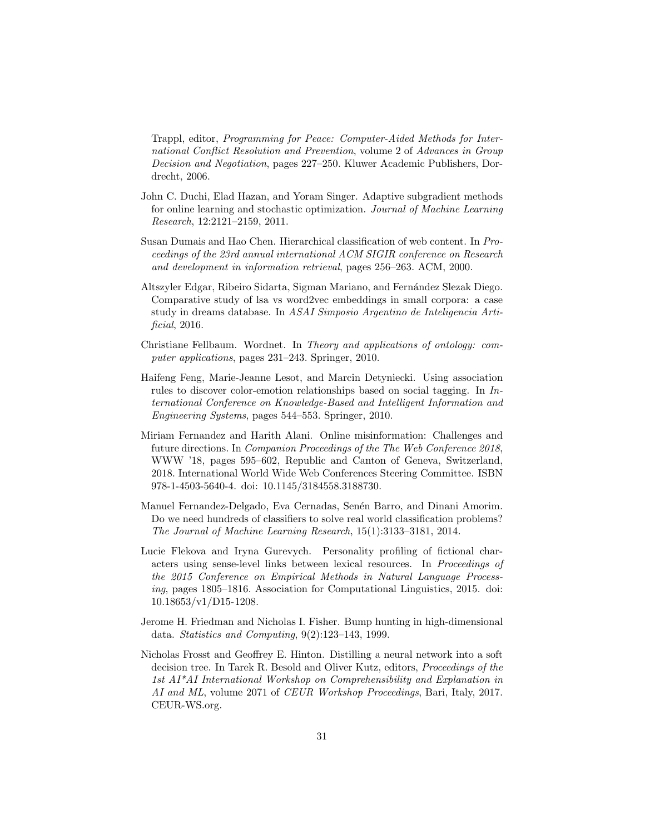Trappl, editor, Programming for Peace: Computer-Aided Methods for International Conflict Resolution and Prevention, volume 2 of Advances in Group Decision and Negotiation, pages 227–250. Kluwer Academic Publishers, Dordrecht, 2006.

- <span id="page-30-3"></span>John C. Duchi, Elad Hazan, and Yoram Singer. Adaptive subgradient methods for online learning and stochastic optimization. Journal of Machine Learning Research, 12:2121–2159, 2011.
- <span id="page-30-6"></span>Susan Dumais and Hao Chen. Hierarchical classification of web content. In Proceedings of the 23rd annual international ACM SIGIR conference on Research and development in information retrieval, pages 256–263. ACM, 2000.
- <span id="page-30-5"></span>Altszyler Edgar, Ribeiro Sidarta, Sigman Mariano, and Fernández Slezak Diego. Comparative study of lsa vs word2vec embeddings in small corpora: a case study in dreams database. In ASAI Simposio Argentino de Inteligencia Artificial, 2016.
- <span id="page-30-9"></span>Christiane Fellbaum. Wordnet. In Theory and applications of ontology: computer applications, pages 231–243. Springer, 2010.
- <span id="page-30-2"></span>Haifeng Feng, Marie-Jeanne Lesot, and Marcin Detyniecki. Using association rules to discover color-emotion relationships based on social tagging. In International Conference on Knowledge-Based and Intelligent Information and Engineering Systems, pages 544–553. Springer, 2010.
- <span id="page-30-8"></span>Miriam Fernandez and Harith Alani. Online misinformation: Challenges and future directions. In Companion Proceedings of the The Web Conference 2018, WWW '18, pages 595–602, Republic and Canton of Geneva, Switzerland, 2018. International World Wide Web Conferences Steering Committee. ISBN 978-1-4503-5640-4. doi: 10.1145/3184558.3188730.
- <span id="page-30-0"></span>Manuel Fernandez-Delgado, Eva Cernadas, Senén Barro, and Dinani Amorim. Do we need hundreds of classifiers to solve real world classification problems? The Journal of Machine Learning Research, 15(1):3133–3181, 2014.
- <span id="page-30-7"></span>Lucie Flekova and Iryna Gurevych. Personality profiling of fictional characters using sense-level links between lexical resources. In Proceedings of the 2015 Conference on Empirical Methods in Natural Language Processing, pages 1805–1816. Association for Computational Linguistics, 2015. doi: 10.18653/v1/D15-1208.
- <span id="page-30-1"></span>Jerome H. Friedman and Nicholas I. Fisher. Bump hunting in high-dimensional data. Statistics and Computing, 9(2):123–143, 1999.
- <span id="page-30-4"></span>Nicholas Frosst and Geoffrey E. Hinton. Distilling a neural network into a soft decision tree. In Tarek R. Besold and Oliver Kutz, editors, Proceedings of the 1st AI\*AI International Workshop on Comprehensibility and Explanation in AI and ML, volume 2071 of CEUR Workshop Proceedings, Bari, Italy, 2017. CEUR-WS.org.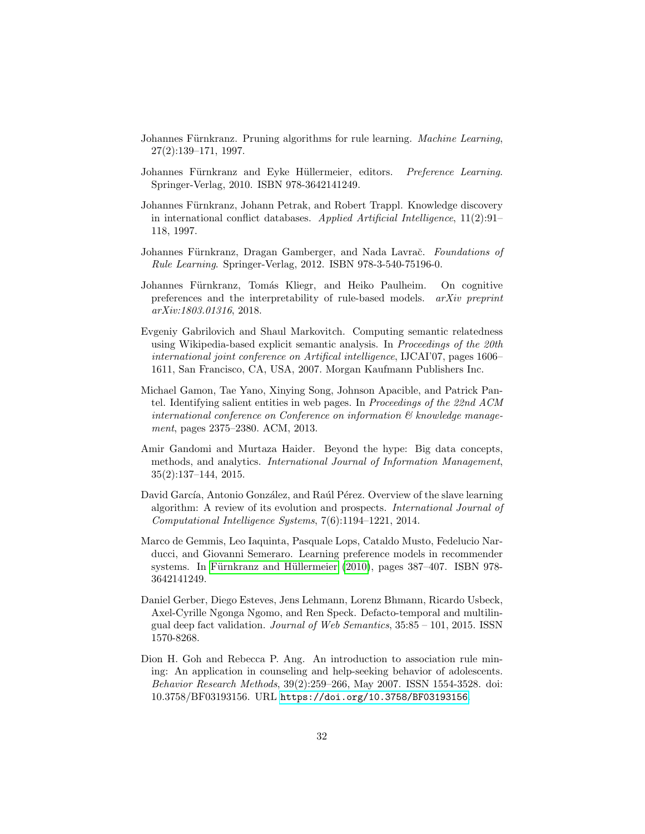- <span id="page-31-2"></span>Johannes Fürnkranz. Pruning algorithms for rule learning. Machine Learning, 27(2):139–171, 1997.
- <span id="page-31-6"></span>Johannes Fürnkranz and Eyke Hüllermeier, editors. Preference Learning. Springer-Verlag, 2010. ISBN 978-3642141249.
- <span id="page-31-0"></span>Johannes Fürnkranz, Johann Petrak, and Robert Trappl. Knowledge discovery in international conflict databases. Applied Artificial Intelligence, 11(2):91– 118, 1997.
- <span id="page-31-1"></span>Johannes Fürnkranz, Dragan Gamberger, and Nada Lavrač. Foundations of Rule Learning. Springer-Verlag, 2012. ISBN 978-3-540-75196-0.
- <span id="page-31-3"></span>Johannes Fürnkranz, Tomás Kliegr, and Heiko Paulheim. On cognitive preferences and the interpretability of rule-based models. arXiv preprint arXiv:1803.01316, 2018.
- <span id="page-31-8"></span>Evgeniy Gabrilovich and Shaul Markovitch. Computing semantic relatedness using Wikipedia-based explicit semantic analysis. In *Proceedings of the 20th* international joint conference on Artifical intelligence, IJCAI'07, pages 1606– 1611, San Francisco, CA, USA, 2007. Morgan Kaufmann Publishers Inc.
- <span id="page-31-9"></span>Michael Gamon, Tae Yano, Xinying Song, Johnson Apacible, and Patrick Pantel. Identifying salient entities in web pages. In Proceedings of the 22nd ACM international conference on Conference on information & knowledge management, pages 2375–2380. ACM, 2013.
- <span id="page-31-11"></span>Amir Gandomi and Murtaza Haider. Beyond the hype: Big data concepts, methods, and analytics. International Journal of Information Management, 35(2):137–144, 2015.
- <span id="page-31-4"></span>David García, Antonio González, and Raúl Pérez. Overview of the slave learning algorithm: A review of its evolution and prospects. International Journal of Computational Intelligence Systems, 7(6):1194–1221, 2014.
- <span id="page-31-7"></span>Marco de Gemmis, Leo Iaquinta, Pasquale Lops, Cataldo Musto, Fedelucio Narducci, and Giovanni Semeraro. Learning preference models in recommender systems. In Fürnkranz and Hüllermeier [\(2010\)](#page-31-6), pages 387–407. ISBN 978-3642141249.
- <span id="page-31-10"></span>Daniel Gerber, Diego Esteves, Jens Lehmann, Lorenz Bhmann, Ricardo Usbeck, Axel-Cyrille Ngonga Ngomo, and Ren Speck. Defacto-temporal and multilingual deep fact validation. Journal of Web Semantics, 35:85 – 101, 2015. ISSN 1570-8268.
- <span id="page-31-5"></span>Dion H. Goh and Rebecca P. Ang. An introduction to association rule mining: An application in counseling and help-seeking behavior of adolescents. Behavior Research Methods, 39(2):259–266, May 2007. ISSN 1554-3528. doi: 10.3758/BF03193156. URL <https://doi.org/10.3758/BF03193156>.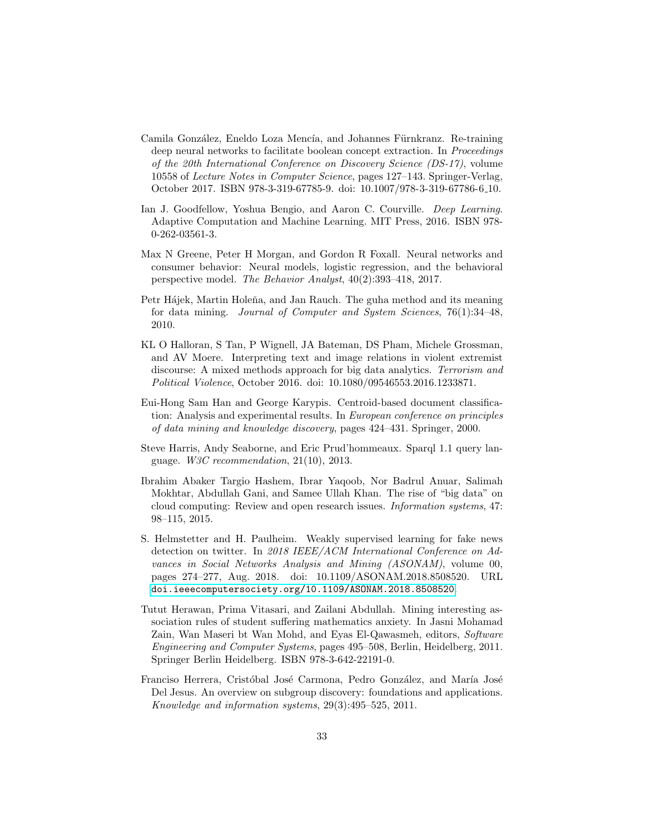- <span id="page-32-4"></span>Camila González, Eneldo Loza Mencía, and Johannes Fürnkranz. Re-training deep neural networks to facilitate boolean concept extraction. In Proceedings of the 20th International Conference on Discovery Science (DS-17), volume 10558 of Lecture Notes in Computer Science, pages 127–143. Springer-Verlag, October 2017. ISBN 978-3-319-67785-9. doi: 10.1007/978-3-319-67786-6 10.
- <span id="page-32-3"></span>Ian J. Goodfellow, Yoshua Bengio, and Aaron C. Courville. Deep Learning. Adaptive Computation and Machine Learning. MIT Press, 2016. ISBN 978- 0-262-03561-3.
- <span id="page-32-5"></span>Max N Greene, Peter H Morgan, and Gordon R Foxall. Neural networks and consumer behavior: Neural models, logistic regression, and the behavioral perspective model. The Behavior Analyst, 40(2):393–418, 2017.
- <span id="page-32-0"></span>Petr Hájek, Martin Holeňa, and Jan Rauch. The guha method and its meaning for data mining. Journal of Computer and System Sciences, 76(1):34–48, 2010.
- <span id="page-32-9"></span>KL O Halloran, S Tan, P Wignell, JA Bateman, DS Pham, Michele Grossman, and AV Moere. Interpreting text and image relations in violent extremist discourse: A mixed methods approach for big data analytics. Terrorism and Political Violence, October 2016. doi: 10.1080/09546553.2016.1233871.
- <span id="page-32-7"></span>Eui-Hong Sam Han and George Karypis. Centroid-based document classification: Analysis and experimental results. In European conference on principles of data mining and knowledge discovery, pages 424–431. Springer, 2000.
- <span id="page-32-8"></span>Steve Harris, Andy Seaborne, and Eric Prud'hommeaux. Sparql 1.1 query language. W3C recommendation, 21(10), 2013.
- <span id="page-32-10"></span>Ibrahim Abaker Targio Hashem, Ibrar Yaqoob, Nor Badrul Anuar, Salimah Mokhtar, Abdullah Gani, and Samee Ullah Khan. The rise of "big data" on cloud computing: Review and open research issues. Information systems, 47: 98–115, 2015.
- <span id="page-32-6"></span>S. Helmstetter and H. Paulheim. Weakly supervised learning for fake news detection on twitter. In 2018 IEEE/ACM International Conference on Advances in Social Networks Analysis and Mining (ASONAM), volume 00, pages 274–277, Aug. 2018. doi: 10.1109/ASONAM.2018.8508520. URL <doi.ieeecomputersociety.org/10.1109/ASONAM.2018.8508520>.
- <span id="page-32-2"></span>Tutut Herawan, Prima Vitasari, and Zailani Abdullah. Mining interesting association rules of student suffering mathematics anxiety. In Jasni Mohamad Zain, Wan Maseri bt Wan Mohd, and Eyas El-Qawasmeh, editors, Software Engineering and Computer Systems, pages 495–508, Berlin, Heidelberg, 2011. Springer Berlin Heidelberg. ISBN 978-3-642-22191-0.
- <span id="page-32-1"></span>Franciso Herrera, Cristóbal José Carmona, Pedro González, and María José Del Jesus. An overview on subgroup discovery: foundations and applications. Knowledge and information systems, 29(3):495–525, 2011.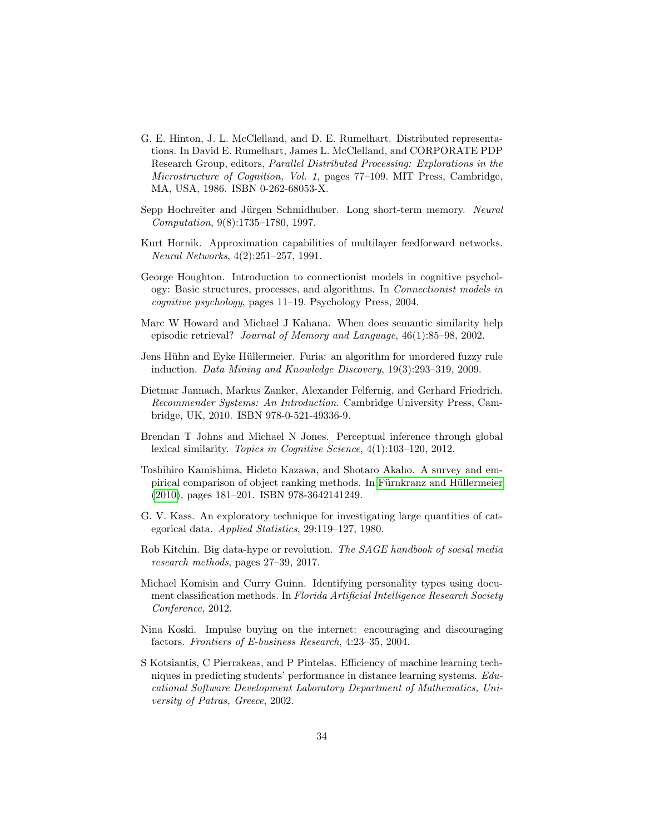- <span id="page-33-9"></span>G. E. Hinton, J. L. McClelland, and D. E. Rumelhart. Distributed representations. In David E. Rumelhart, James L. McClelland, and CORPORATE PDP Research Group, editors, Parallel Distributed Processing: Explorations in the Microstructure of Cognition, Vol. 1, pages 77–109. MIT Press, Cambridge, MA, USA, 1986. ISBN 0-262-68053-X.
- <span id="page-33-4"></span>Sepp Hochreiter and Jürgen Schmidhuber. Long short-term memory. Neural Computation, 9(8):1735–1780, 1997.
- <span id="page-33-3"></span>Kurt Hornik. Approximation capabilities of multilayer feedforward networks. Neural Networks, 4(2):251–257, 1991.
- <span id="page-33-5"></span>George Houghton. Introduction to connectionist models in cognitive psychology: Basic structures, processes, and algorithms. In Connectionist models in cognitive psychology, pages 11–19. Psychology Press, 2004.
- <span id="page-33-10"></span>Marc W Howard and Michael J Kahana. When does semantic similarity help episodic retrieval? Journal of Memory and Language, 46(1):85–98, 2002.
- <span id="page-33-1"></span>Jens Hühn and Eyke Hüllermeier. Furia: an algorithm for unordered fuzzy rule induction. Data Mining and Knowledge Discovery, 19(3):293–319, 2009.
- <span id="page-33-6"></span>Dietmar Jannach, Markus Zanker, Alexander Felfernig, and Gerhard Friedrich. Recommender Systems: An Introduction. Cambridge University Press, Cambridge, UK, 2010. ISBN 978-0-521-49336-9.
- <span id="page-33-12"></span>Brendan T Johns and Michael N Jones. Perceptual inference through global lexical similarity. Topics in Cognitive Science, 4(1):103–120, 2012.
- <span id="page-33-8"></span>Toshihiro Kamishima, Hideto Kazawa, and Shotaro Akaho. A survey and empirical comparison of object ranking methods. In Fürnkranz and Hüllermeier [\(2010\)](#page-31-6), pages 181–201. ISBN 978-3642141249.
- <span id="page-33-0"></span>G. V. Kass. An exploratory technique for investigating large quantities of categorical data. Applied Statistics, 29:119–127, 1980.
- <span id="page-33-13"></span>Rob Kitchin. Big data-hype or revolution. The SAGE handbook of social media research methods, pages 27–39, 2017.
- <span id="page-33-11"></span>Michael Komisin and Curry Guinn. Identifying personality types using document classification methods. In Florida Artificial Intelligence Research Society Conference, 2012.
- <span id="page-33-7"></span>Nina Koski. Impulse buying on the internet: encouraging and discouraging factors. Frontiers of E-business Research, 4:23–35, 2004.
- <span id="page-33-2"></span>S Kotsiantis, C Pierrakeas, and P Pintelas. Efficiency of machine learning techniques in predicting students' performance in distance learning systems. Educational Software Development Laboratory Department of Mathematics, University of Patras, Greece, 2002.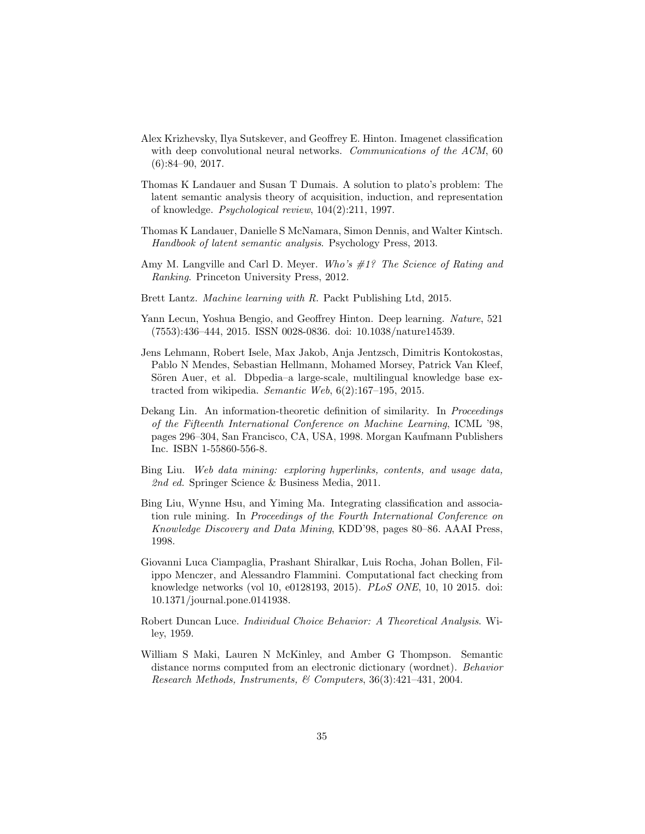- <span id="page-34-2"></span>Alex Krizhevsky, Ilya Sutskever, and Geoffrey E. Hinton. Imagenet classification with deep convolutional neural networks. Communications of the ACM, 60 (6):84–90, 2017.
- <span id="page-34-7"></span>Thomas K Landauer and Susan T Dumais. A solution to plato's problem: The latent semantic analysis theory of acquisition, induction, and representation of knowledge. Psychological review, 104(2):211, 1997.
- <span id="page-34-6"></span>Thomas K Landauer, Danielle S McNamara, Simon Dennis, and Walter Kintsch. Handbook of latent semantic analysis. Psychology Press, 2013.
- <span id="page-34-4"></span>Amy M. Langville and Carl D. Meyer. Who's  $\#1$ ? The Science of Rating and Ranking. Princeton University Press, 2012.
- <span id="page-34-12"></span>Brett Lantz. Machine learning with R. Packt Publishing Ltd, 2015.
- <span id="page-34-1"></span>Yann Lecun, Yoshua Bengio, and Geoffrey Hinton. Deep learning. Nature, 521 (7553):436–444, 2015. ISSN 0028-0836. doi: 10.1038/nature14539.
- <span id="page-34-8"></span>Jens Lehmann, Robert Isele, Max Jakob, Anja Jentzsch, Dimitris Kontokostas, Pablo N Mendes, Sebastian Hellmann, Mohamed Morsey, Patrick Van Kleef, Sören Auer, et al. Dbpedia–a large-scale, multilingual knowledge base extracted from wikipedia. Semantic Web, 6(2):167–195, 2015.
- <span id="page-34-10"></span>Dekang Lin. An information-theoretic definition of similarity. In Proceedings of the Fifteenth International Conference on Machine Learning, ICML '98, pages 296–304, San Francisco, CA, USA, 1998. Morgan Kaufmann Publishers Inc. ISBN 1-55860-556-8.
- <span id="page-34-3"></span>Bing Liu. Web data mining: exploring hyperlinks, contents, and usage data, 2nd ed. Springer Science & Business Media, 2011.
- <span id="page-34-0"></span>Bing Liu, Wynne Hsu, and Yiming Ma. Integrating classification and association rule mining. In Proceedings of the Fourth International Conference on Knowledge Discovery and Data Mining, KDD'98, pages 80–86. AAAI Press, 1998.
- <span id="page-34-9"></span>Giovanni Luca Ciampaglia, Prashant Shiralkar, Luis Rocha, Johan Bollen, Filippo Menczer, and Alessandro Flammini. Computational fact checking from knowledge networks (vol 10, e0128193, 2015). PLoS ONE, 10, 10 2015. doi: 10.1371/journal.pone.0141938.
- <span id="page-34-5"></span>Robert Duncan Luce. Individual Choice Behavior: A Theoretical Analysis. Wiley, 1959.
- <span id="page-34-11"></span>William S Maki, Lauren N McKinley, and Amber G Thompson. Semantic distance norms computed from an electronic dictionary (wordnet). Behavior Research Methods, Instruments, & Computers, 36(3):421–431, 2004.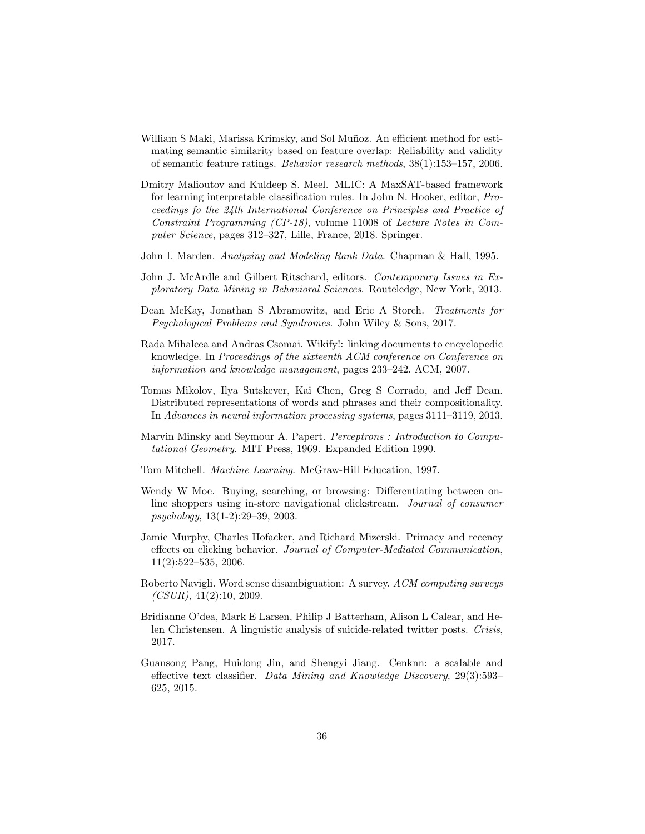- <span id="page-35-13"></span>William S Maki, Marissa Krimsky, and Sol Muñoz. An efficient method for estimating semantic similarity based on feature overlap: Reliability and validity of semantic feature ratings. Behavior research methods, 38(1):153–157, 2006.
- <span id="page-35-2"></span>Dmitry Malioutov and Kuldeep S. Meel. MLIC: A MaxSAT-based framework for learning interpretable classification rules. In John N. Hooker, editor, Proceedings fo the 24th International Conference on Principles and Practice of Constraint Programming (CP-18), volume 11008 of Lecture Notes in Computer Science, pages 312–327, Lille, France, 2018. Springer.
- <span id="page-35-7"></span>John I. Marden. Analyzing and Modeling Rank Data. Chapman & Hall, 1995.
- <span id="page-35-1"></span>John J. McArdle and Gilbert Ritschard, editors. Contemporary Issues in Exploratory Data Mining in Behavioral Sciences. Routeledge, New York, 2013.
- <span id="page-35-4"></span>Dean McKay, Jonathan S Abramowitz, and Eric A Storch. Treatments for Psychological Problems and Syndromes. John Wiley & Sons, 2017.
- <span id="page-35-10"></span>Rada Mihalcea and Andras Csomai. Wikify!: linking documents to encyclopedic knowledge. In Proceedings of the sixteenth ACM conference on Conference on information and knowledge management, pages 233–242. ACM, 2007.
- <span id="page-35-8"></span>Tomas Mikolov, Ilya Sutskever, Kai Chen, Greg S Corrado, and Jeff Dean. Distributed representations of words and phrases and their compositionality. In Advances in neural information processing systems, pages 3111–3119, 2013.
- <span id="page-35-3"></span>Marvin Minsky and Seymour A. Papert. Perceptrons : Introduction to Computational Geometry. MIT Press, 1969. Expanded Edition 1990.
- <span id="page-35-0"></span>Tom Mitchell. Machine Learning. McGraw-Hill Education, 1997.
- <span id="page-35-5"></span>Wendy W Moe. Buying, searching, or browsing: Differentiating between online shoppers using in-store navigational clickstream. Journal of consumer psychology, 13(1-2):29–39, 2003.
- <span id="page-35-6"></span>Jamie Murphy, Charles Hofacker, and Richard Mizerski. Primacy and recency effects on clicking behavior. Journal of Computer-Mediated Communication, 11(2):522–535, 2006.
- <span id="page-35-11"></span>Roberto Navigli. Word sense disambiguation: A survey. ACM computing surveys  $(CSUR), 41(2):10, 2009.$
- <span id="page-35-9"></span>Bridianne O'dea, Mark E Larsen, Philip J Batterham, Alison L Calear, and Helen Christensen. A linguistic analysis of suicide-related twitter posts. Crisis, 2017.
- <span id="page-35-12"></span>Guansong Pang, Huidong Jin, and Shengyi Jiang. Cenknn: a scalable and effective text classifier. Data Mining and Knowledge Discovery, 29(3):593– 625, 2015.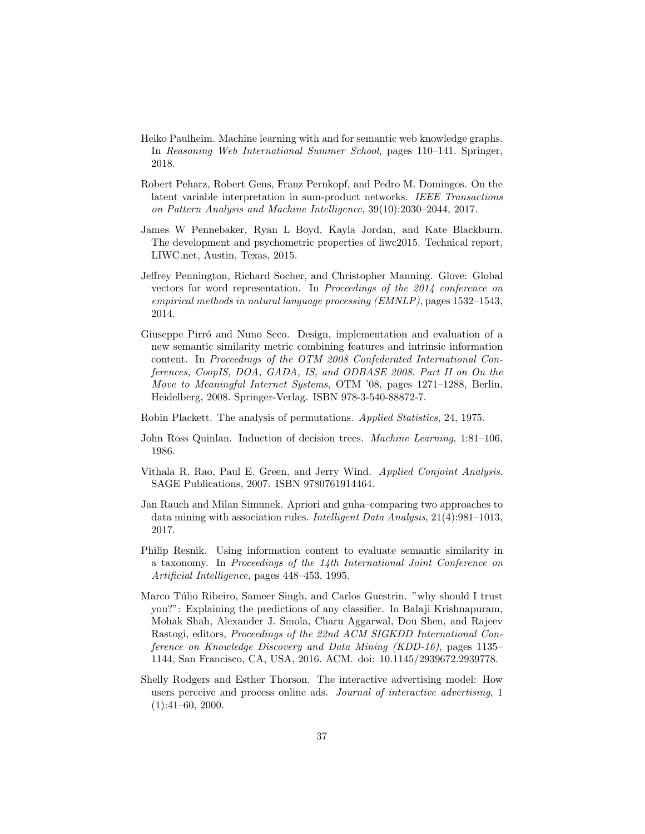- <span id="page-36-9"></span>Heiko Paulheim. Machine learning with and for semantic web knowledge graphs. In Reasoning Web International Summer School, pages 110–141. Springer, 2018.
- <span id="page-36-3"></span>Robert Peharz, Robert Gens, Franz Pernkopf, and Pedro M. Domingos. On the latent variable interpretation in sum-product networks. IEEE Transactions on Pattern Analysis and Machine Intelligence, 39(10):2030–2044, 2017.
- <span id="page-36-8"></span>James W Pennebaker, Ryan L Boyd, Kayla Jordan, and Kate Blackburn. The development and psychometric properties of liwc2015. Technical report, LIWC.net, Austin, Texas, 2015.
- <span id="page-36-7"></span>Jeffrey Pennington, Richard Socher, and Christopher Manning. Glove: Global vectors for word representation. In Proceedings of the 2014 conference on empirical methods in natural language processing (EMNLP), pages 1532–1543, 2014.
- <span id="page-36-11"></span>Giuseppe Pirró and Nuno Seco. Design, implementation and evaluation of a new semantic similarity metric combining features and intrinsic information content. In Proceedings of the OTM 2008 Confederated International Conferences, CoopIS, DOA, GADA, IS, and ODBASE 2008. Part II on On the Move to Meaningful Internet Systems, OTM '08, pages 1271–1288, Berlin, Heidelberg, 2008. Springer-Verlag. ISBN 978-3-540-88872-7.
- <span id="page-36-6"></span>Robin Plackett. The analysis of permutations. Applied Statistics, 24, 1975.
- <span id="page-36-0"></span>John Ross Quinlan. Induction of decision trees. Machine Learning, 1:81–106, 1986.
- <span id="page-36-5"></span>Vithala R. Rao, Paul E. Green, and Jerry Wind. Applied Conjoint Analysis. SAGE Publications, 2007. ISBN 9780761914464.
- <span id="page-36-1"></span>Jan Rauch and Milan Simunek. Apriori and guha–comparing two approaches to data mining with association rules. Intelligent Data Analysis, 21(4):981–1013, 2017.
- <span id="page-36-10"></span>Philip Resnik. Using information content to evaluate semantic similarity in a taxonomy. In Proceedings of the 14th International Joint Conference on Artificial Intelligence, pages 448–453, 1995.
- <span id="page-36-2"></span>Marco Túlio Ribeiro, Sameer Singh, and Carlos Guestrin. "why should I trust you?": Explaining the predictions of any classifier. In Balaji Krishnapuram, Mohak Shah, Alexander J. Smola, Charu Aggarwal, Dou Shen, and Rajeev Rastogi, editors, Proceedings of the 22nd ACM SIGKDD International Conference on Knowledge Discovery and Data Mining (KDD-16), pages 1135– 1144, San Francisco, CA, USA, 2016. ACM. doi: 10.1145/2939672.2939778.
- <span id="page-36-4"></span>Shelly Rodgers and Esther Thorson. The interactive advertising model: How users perceive and process online ads. Journal of interactive advertising, 1  $(1):41-60, 2000.$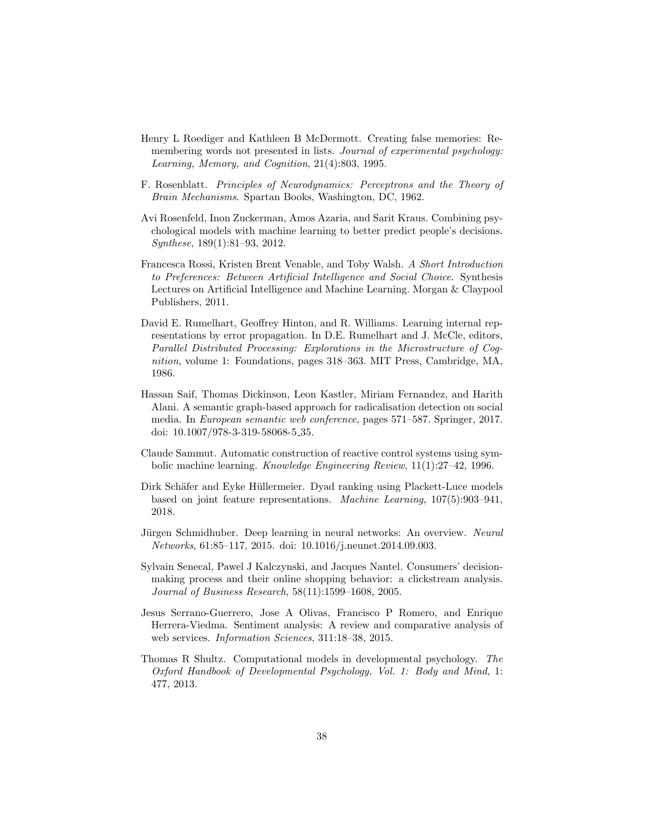- <span id="page-37-9"></span>Henry L Roediger and Kathleen B McDermott. Creating false memories: Remembering words not presented in lists. Journal of experimental psychology: Learning, Memory, and Cognition, 21(4):803, 1995.
- <span id="page-37-2"></span>F. Rosenblatt. Principles of Neurodynamics: Perceptrons and the Theory of Brain Mechanisms. Spartan Books, Washington, DC, 1962.
- <span id="page-37-0"></span>Avi Rosenfeld, Inon Zuckerman, Amos Azaria, and Sarit Kraus. Combining psychological models with machine learning to better predict people's decisions. Synthese, 189(1):81–93, 2012.
- <span id="page-37-8"></span>Francesca Rossi, Kristen Brent Venable, and Toby Walsh. A Short Introduction to Preferences: Between Artificial Intelligence and Social Choice. Synthesis Lectures on Artificial Intelligence and Machine Learning. Morgan & Claypool Publishers, 2011.
- <span id="page-37-3"></span>David E. Rumelhart, Geoffrey Hinton, and R. Williams. Learning internal representations by error propagation. In D.E. Rumelhart and J. McCle, editors, Parallel Distributed Processing: Explorations in the Microstructure of Cognition, volume 1: Foundations, pages 318–363. MIT Press, Cambridge, MA, 1986.
- <span id="page-37-11"></span>Hassan Saif, Thomas Dickinson, Leon Kastler, Miriam Fernandez, and Harith Alani. A semantic graph-based approach for radicalisation detection on social media. In European semantic web conference, pages 571–587. Springer, 2017. doi: 10.1007/978-3-319-58068-5 35.
- <span id="page-37-5"></span>Claude Sammut. Automatic construction of reactive control systems using symbolic machine learning. Knowledge Engineering Review, 11(1):27–42, 1996.
- <span id="page-37-7"></span>Dirk Schäfer and Eyke Hüllermeier. Dyad ranking using Plackett-Luce models based on joint feature representations. Machine Learning, 107(5):903–941, 2018.
- <span id="page-37-4"></span>Jürgen Schmidhuber. Deep learning in neural networks: An overview. Neural Networks, 61:85–117, 2015. doi: 10.1016/j.neunet.2014.09.003.
- <span id="page-37-6"></span>Sylvain Senecal, Pawel J Kalczynski, and Jacques Nantel. Consumers' decisionmaking process and their online shopping behavior: a clickstream analysis. Journal of Business Research, 58(11):1599–1608, 2005.
- <span id="page-37-10"></span>Jesus Serrano-Guerrero, Jose A Olivas, Francisco P Romero, and Enrique Herrera-Viedma. Sentiment analysis: A review and comparative analysis of web services. Information Sciences, 311:18–38, 2015.
- <span id="page-37-1"></span>Thomas R Shultz. Computational models in developmental psychology. The Oxford Handbook of Developmental Psychology, Vol. 1: Body and Mind, 1: 477, 2013.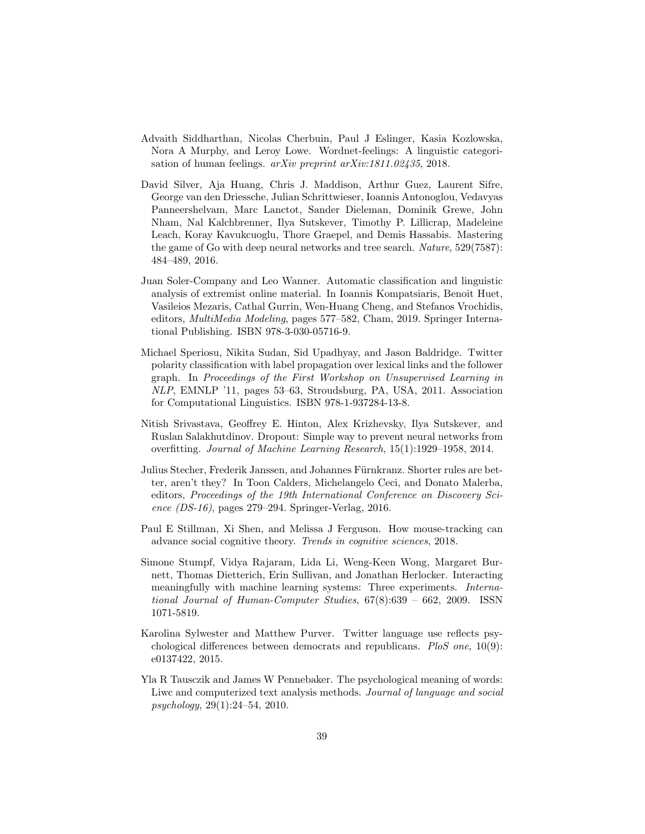- <span id="page-38-9"></span>Advaith Siddharthan, Nicolas Cherbuin, Paul J Eslinger, Kasia Kozlowska, Nora A Murphy, and Leroy Lowe. Wordnet-feelings: A linguistic categorisation of human feelings. arXiv preprint arXiv:1811.02435, 2018.
- <span id="page-38-3"></span>David Silver, Aja Huang, Chris J. Maddison, Arthur Guez, Laurent Sifre, George van den Driessche, Julian Schrittwieser, Ioannis Antonoglou, Vedavyas Panneershelvam, Marc Lanctot, Sander Dieleman, Dominik Grewe, John Nham, Nal Kalchbrenner, Ilya Sutskever, Timothy P. Lillicrap, Madeleine Leach, Koray Kavukcuoglu, Thore Graepel, and Demis Hassabis. Mastering the game of Go with deep neural networks and tree search. Nature, 529(7587): 484–489, 2016.
- <span id="page-38-8"></span>Juan Soler-Company and Leo Wanner. Automatic classification and linguistic analysis of extremist online material. In Ioannis Kompatsiaris, Benoit Huet, Vasileios Mezaris, Cathal Gurrin, Wen-Huang Cheng, and Stefanos Vrochidis, editors, MultiMedia Modeling, pages 577–582, Cham, 2019. Springer International Publishing. ISBN 978-3-030-05716-9.
- <span id="page-38-7"></span>Michael Speriosu, Nikita Sudan, Sid Upadhyay, and Jason Baldridge. Twitter polarity classification with label propagation over lexical links and the follower graph. In Proceedings of the First Workshop on Unsupervised Learning in NLP, EMNLP '11, pages 53–63, Stroudsburg, PA, USA, 2011. Association for Computational Linguistics. ISBN 978-1-937284-13-8.
- <span id="page-38-2"></span>Nitish Srivastava, Geoffrey E. Hinton, Alex Krizhevsky, Ilya Sutskever, and Ruslan Salakhutdinov. Dropout: Simple way to prevent neural networks from overfitting. Journal of Machine Learning Research, 15(1):1929–1958, 2014.
- <span id="page-38-0"></span>Julius Stecher, Frederik Janssen, and Johannes Fürnkranz. Shorter rules are better, aren't they? In Toon Calders, Michelangelo Ceci, and Donato Malerba, editors, Proceedings of the 19th International Conference on Discovery Science (DS-16), pages 279–294. Springer-Verlag, 2016.
- <span id="page-38-4"></span>Paul E Stillman, Xi Shen, and Melissa J Ferguson. How mouse-tracking can advance social cognitive theory. Trends in cognitive sciences, 2018.
- <span id="page-38-1"></span>Simone Stumpf, Vidya Rajaram, Lida Li, Weng-Keen Wong, Margaret Burnett, Thomas Dietterich, Erin Sullivan, and Jonathan Herlocker. Interacting meaningfully with machine learning systems: Three experiments. International Journal of Human-Computer Studies, 67(8):639 – 662, 2009. ISSN 1071-5819.
- <span id="page-38-6"></span>Karolina Sylwester and Matthew Purver. Twitter language use reflects psychological differences between democrats and republicans. PloS one, 10(9): e0137422, 2015.
- <span id="page-38-5"></span>Yla R Tausczik and James W Pennebaker. The psychological meaning of words: Liwc and computerized text analysis methods. Journal of language and social psychology, 29(1):24–54, 2010.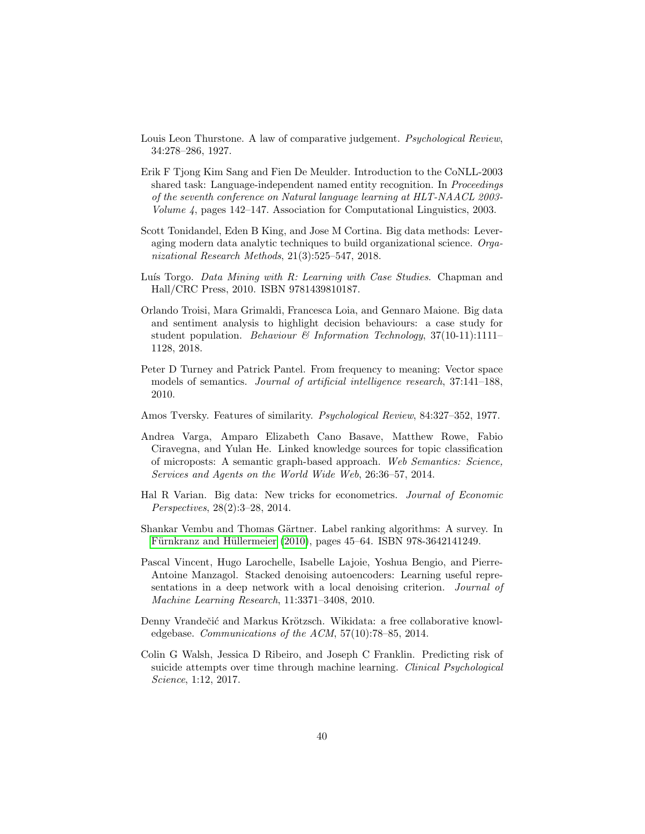- <span id="page-39-3"></span>Louis Leon Thurstone. A law of comparative judgement. Psychological Review, 34:278–286, 1927.
- <span id="page-39-5"></span>Erik F Tjong Kim Sang and Fien De Meulder. Introduction to the CoNLL-2003 shared task: Language-independent named entity recognition. In Proceedings of the seventh conference on Natural language learning at HLT-NAACL 2003- Volume 4, pages 142–147. Association for Computational Linguistics, 2003.
- <span id="page-39-10"></span>Scott Tonidandel, Eden B King, and Jose M Cortina. Big data methods: Leveraging modern data analytic techniques to build organizational science. Organizational Research Methods, 21(3):525–547, 2018.
- <span id="page-39-12"></span>Luís Torgo. Data Mining with R: Learning with Case Studies. Chapman and Hall/CRC Press, 2010. ISBN 9781439810187.
- <span id="page-39-6"></span>Orlando Troisi, Mara Grimaldi, Francesca Loia, and Gennaro Maione. Big data and sentiment analysis to highlight decision behaviours: a case study for student population. Behaviour  $\mathcal{B}$  Information Technology, 37(10-11):1111-1128, 2018.
- <span id="page-39-4"></span>Peter D Turney and Patrick Pantel. From frequency to meaning: Vector space models of semantics. Journal of artificial intelligence research, 37:141–188, 2010.
- <span id="page-39-9"></span>Amos Tversky. Features of similarity. Psychological Review, 84:327–352, 1977.
- <span id="page-39-7"></span>Andrea Varga, Amparo Elizabeth Cano Basave, Matthew Rowe, Fabio Ciravegna, and Yulan He. Linked knowledge sources for topic classification of microposts: A semantic graph-based approach. Web Semantics: Science, Services and Agents on the World Wide Web, 26:36–57, 2014.
- <span id="page-39-11"></span>Hal R Varian. Big data: New tricks for econometrics. Journal of Economic Perspectives, 28(2):3–28, 2014.
- <span id="page-39-2"></span>Shankar Vembu and Thomas Gärtner. Label ranking algorithms: A survey. In Fürnkranz and Hüllermeier  $(2010)$ , pages  $45-64$ . ISBN 978-3642141249.
- <span id="page-39-1"></span>Pascal Vincent, Hugo Larochelle, Isabelle Lajoie, Yoshua Bengio, and Pierre-Antoine Manzagol. Stacked denoising autoencoders: Learning useful representations in a deep network with a local denoising criterion. Journal of Machine Learning Research, 11:3371–3408, 2010.
- <span id="page-39-8"></span>Denny Vrandečić and Markus Krötzsch. Wikidata: a free collaborative knowledgebase. Communications of the ACM, 57(10):78–85, 2014.
- <span id="page-39-0"></span>Colin G Walsh, Jessica D Ribeiro, and Joseph C Franklin. Predicting risk of suicide attempts over time through machine learning. Clinical Psychological Science, 1:12, 2017.